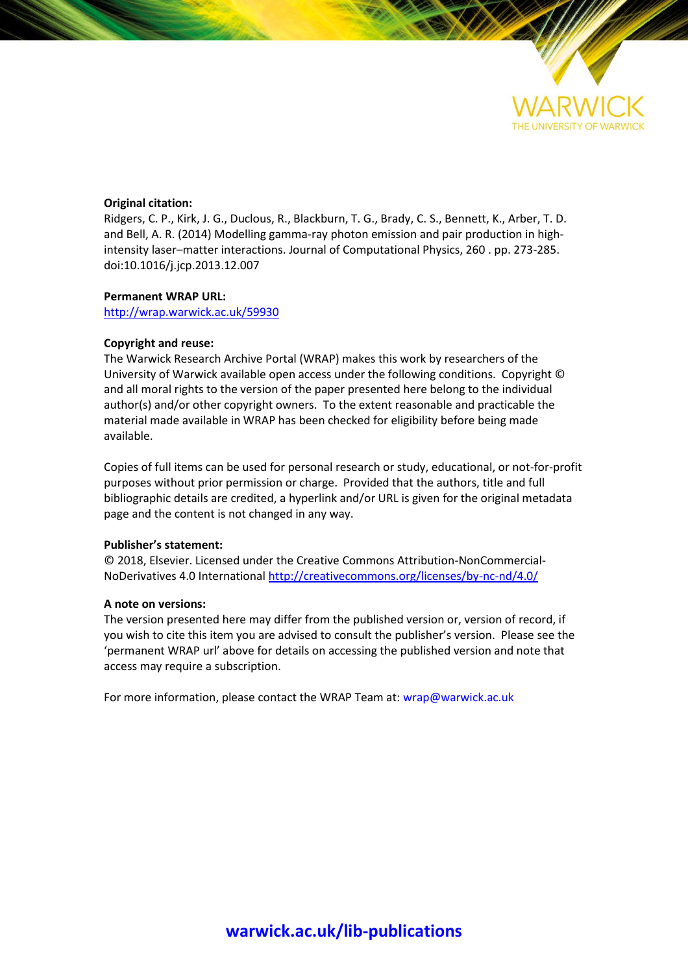

# **Original citation:**

Ridgers, C. P., Kirk, J. G., Duclous, R., Blackburn, T. G., Brady, C. S., Bennett, K., Arber, T. D. and Bell, A. R. (2014) Modelling gamma-ray photon emission and pair production in highintensity laser–matter interactions. Journal of Computational Physics, 260 . pp. 273-285. doi:10.1016/j.jcp.2013.12.007

# **Permanent WRAP URL:**

<http://wrap.warwick.ac.uk/59930>

# **Copyright and reuse:**

The Warwick Research Archive Portal (WRAP) makes this work by researchers of the University of Warwick available open access under the following conditions. Copyright © and all moral rights to the version of the paper presented here belong to the individual author(s) and/or other copyright owners. To the extent reasonable and practicable the material made available in WRAP has been checked for eligibility before being made available.

Copies of full items can be used for personal research or study, educational, or not-for-profit purposes without prior permission or charge. Provided that the authors, title and full bibliographic details are credited, a hyperlink and/or URL is given for the original metadata page and the content is not changed in any way.

# **Publisher's statement:**

© 2018, Elsevier. Licensed under the Creative Commons Attribution-NonCommercial-NoDerivatives 4.0 International<http://creativecommons.org/licenses/by-nc-nd/4.0/>

# **A note on versions:**

The version presented here may differ from the published version or, version of record, if you wish to cite this item you are advised to consult the publisher's version. Please see the 'permanent WRAP url' above for details on accessing the published version and note that access may require a subscription.

For more information, please contact the WRAP Team at[: wrap@warwick.ac.uk](mailto:wrap@warwick.ac.uk)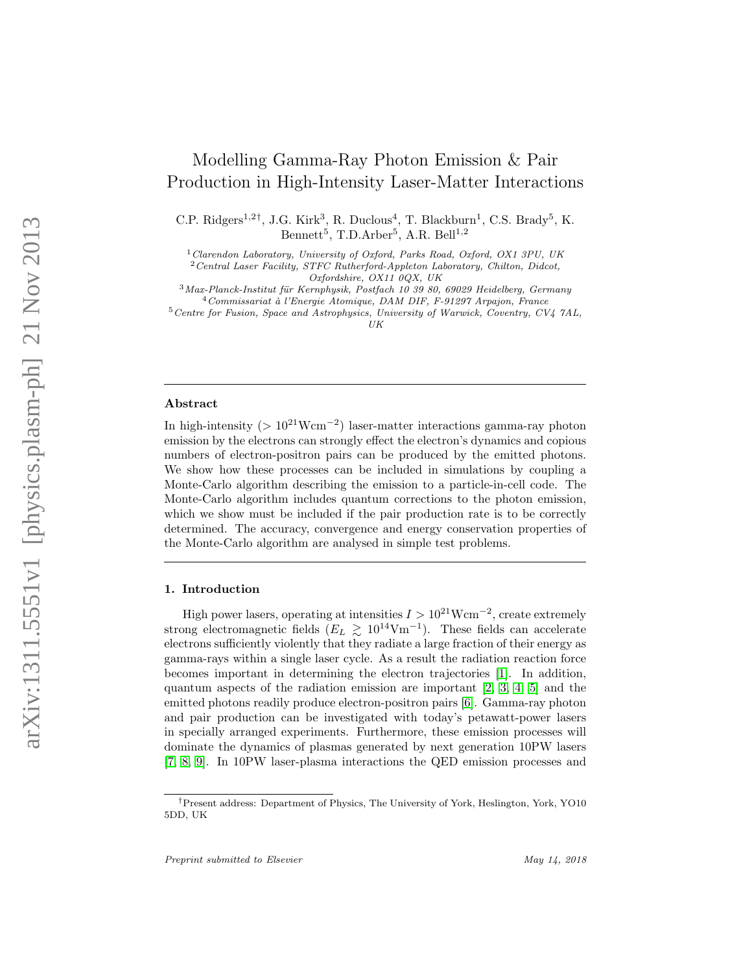# Modelling Gamma-Ray Photon Emission & Pair Production in High-Intensity Laser-Matter Interactions

C.P. Ridgers<sup>1,2†</sup>, J.G. Kirk<sup>3</sup>, R. Duclous<sup>4</sup>, T. Blackburn<sup>1</sup>, C.S. Brady<sup>5</sup>, K. Bennett<sup>5</sup>, T.D.Arber<sup>5</sup>, A.R. Bell<sup>1,2</sup>

 $1$ Clarendon Laboratory, University of Oxford, Parks Road, Oxford, OX1 3PU, UK

<sup>2</sup>Central Laser Facility, STFC Rutherford-Appleton Laboratory, Chilton, Didcot, Oxfordshire, OX11 0QX, UK

 $3$ Max-Planck-Institut für Kernphysik, Postfach 10 39 80, 69029 Heidelberg, Germany  $4$ Commissariat à l'Energie Atomique, DAM DIF, F-91297 Arpajon, France

<sup>5</sup>Centre for Fusion, Space and Astrophysics, University of Warwick, Coventry, CV4 7AL, UK

#### Abstract

In high-intensity ( $> 10^{21}$ Wcm<sup>-2</sup>) laser-matter interactions gamma-ray photon emission by the electrons can strongly effect the electron's dynamics and copious numbers of electron-positron pairs can be produced by the emitted photons. We show how these processes can be included in simulations by coupling a Monte-Carlo algorithm describing the emission to a particle-in-cell code. The Monte-Carlo algorithm includes quantum corrections to the photon emission, which we show must be included if the pair production rate is to be correctly determined. The accuracy, convergence and energy conservation properties of the Monte-Carlo algorithm are analysed in simple test problems.

## 1. Introduction

High power lasers, operating at intensities  $I > 10^{21}$ Wcm<sup>-2</sup>, create extremely strong electromagnetic fields  $(E_L \gtrsim 10^{14} \text{Vm}^{-1})$ . These fields can accelerate electrons sufficiently violently that they radiate a large fraction of their energy as gamma-rays within a single laser cycle. As a result the radiation reaction force becomes important in determining the electron trajectories [\[1\]](#page-20-0). In addition, quantum aspects of the radiation emission are important [\[2,](#page-20-1) [3,](#page-20-2) [4,](#page-20-3) [5\]](#page-20-4) and the emitted photons readily produce electron-positron pairs [\[6\]](#page-20-5). Gamma-ray photon and pair production can be investigated with today's petawatt-power lasers in specially arranged experiments. Furthermore, these emission processes will dominate the dynamics of plasmas generated by next generation 10PW lasers [\[7,](#page-21-0) [8,](#page-21-1) [9\]](#page-21-2). In 10PW laser-plasma interactions the QED emission processes and

<sup>†</sup>Present address: Department of Physics, The University of York, Heslington, York, YO10 5DD, UK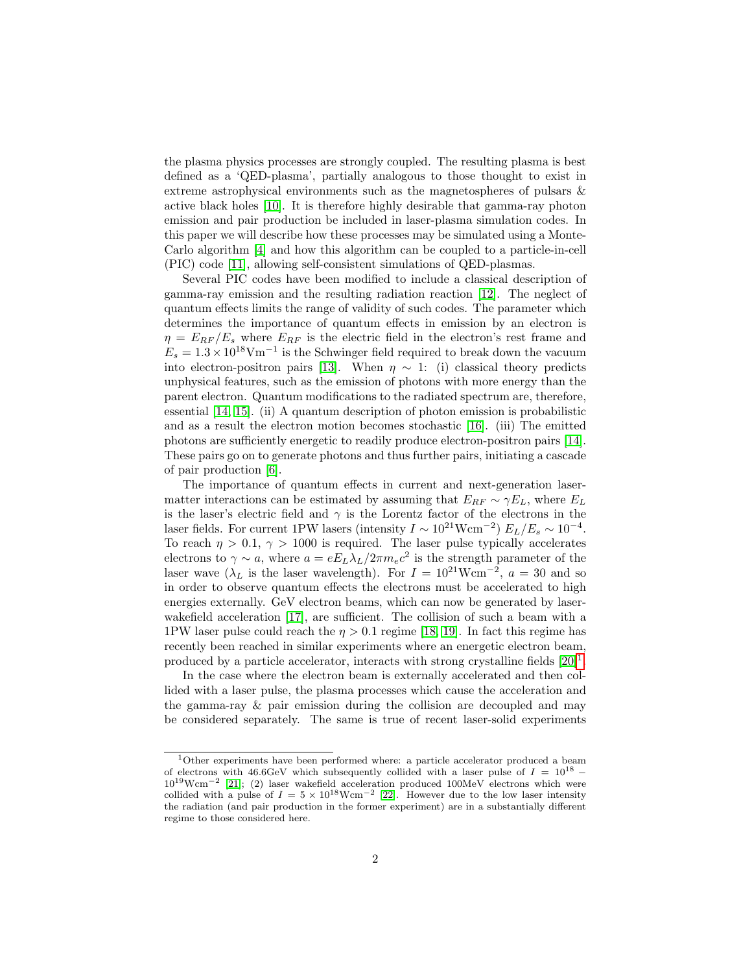the plasma physics processes are strongly coupled. The resulting plasma is best defined as a 'QED-plasma', partially analogous to those thought to exist in extreme astrophysical environments such as the magnetospheres of pulsars & active black holes [\[10\]](#page-21-3). It is therefore highly desirable that gamma-ray photon emission and pair production be included in laser-plasma simulation codes. In this paper we will describe how these processes may be simulated using a Monte-Carlo algorithm [\[4\]](#page-20-3) and how this algorithm can be coupled to a particle-in-cell (PIC) code [\[11\]](#page-21-4), allowing self-consistent simulations of QED-plasmas.

Several PIC codes have been modified to include a classical description of gamma-ray emission and the resulting radiation reaction [\[12\]](#page-21-5). The neglect of quantum effects limits the range of validity of such codes. The parameter which determines the importance of quantum effects in emission by an electron is  $\eta = E_{RF}/E_s$  where  $E_{RF}$  is the electric field in the electron's rest frame and  $E_s = 1.3 \times 10^{18} \text{V} \text{m}^{-1}$  is the Schwinger field required to break down the vacuum into electron-positron pairs [\[13\]](#page-21-6). When  $\eta \sim 1$ : (i) classical theory predicts unphysical features, such as the emission of photons with more energy than the parent electron. Quantum modifications to the radiated spectrum are, therefore, essential [\[14,](#page-21-7) [15\]](#page-21-8). (ii) A quantum description of photon emission is probabilistic and as a result the electron motion becomes stochastic [\[16\]](#page-21-9). (iii) The emitted photons are sufficiently energetic to readily produce electron-positron pairs [\[14\]](#page-21-7). These pairs go on to generate photons and thus further pairs, initiating a cascade of pair production [\[6\]](#page-20-5).

The importance of quantum effects in current and next-generation lasermatter interactions can be estimated by assuming that  $E_{RF} \sim \gamma E_L$ , where  $E_L$ is the laser's electric field and  $\gamma$  is the Lorentz factor of the electrons in the laser fields. For current 1PW lasers (intensity  $I \sim 10^{21} \text{Wcm}^{-2}$ )  $E_L/E_s \sim 10^{-4}$ . To reach  $\eta > 0.1$ ,  $\gamma > 1000$  is required. The laser pulse typically accelerates electrons to  $\gamma \sim a$ , where  $a = eE_L \lambda_L/2\pi m_e c^2$  is the strength parameter of the laser wave ( $\lambda_L$  is the laser wavelength). For  $I = 10^{21}$ Wcm<sup>-2</sup>,  $a = 30$  and so in order to observe quantum effects the electrons must be accelerated to high energies externally. GeV electron beams, which can now be generated by laser-wakefield acceleration [\[17\]](#page-21-10), are sufficient. The collision of such a beam with a 1PW laser pulse could reach the  $\eta > 0.1$  regime [\[18,](#page-21-11) [19\]](#page-21-12). In fact this regime has recently been reached in similar experiments where an energetic electron beam, produced by a particle accelerator, interacts with strong crystalline fields  $[20]$ <sup>[1](#page-2-0)</sup>.

In the case where the electron beam is externally accelerated and then collided with a laser pulse, the plasma processes which cause the acceleration and the gamma-ray & pair emission during the collision are decoupled and may be considered separately. The same is true of recent laser-solid experiments

<span id="page-2-0"></span><sup>1</sup>Other experiments have been performed where: a particle accelerator produced a beam of electrons with 46.6GeV which subsequently collided with a laser pulse of  $I = 10^{18}$  – 1019Wcm−<sup>2</sup> [\[21\]](#page-21-14); (2) laser wakefield acceleration produced 100MeV electrons which were collided with a pulse of  $I = 5 \times 10^{18} \text{Wcm}^{-2}$  [\[22\]](#page-21-15). However due to the low laser intensity the radiation (and pair production in the former experiment) are in a substantially different regime to those considered here.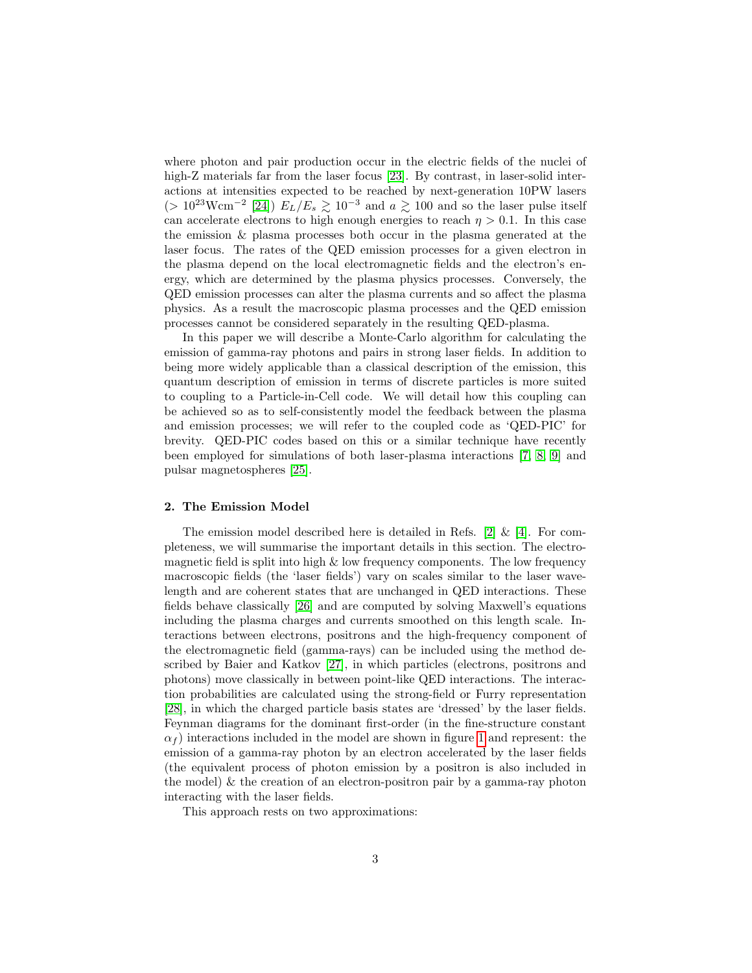where photon and pair production occur in the electric fields of the nuclei of high-Z materials far from the laser focus [\[23\]](#page-21-16). By contrast, in laser-solid interactions at intensities expected to be reached by next-generation 10PW lasers (>  $10^{23}$ Wcm<sup>-2</sup> [\[24\]](#page-21-17))  $E_L/E_s \gtrsim 10^{-3}$  and  $a \gtrsim 100$  and so the laser pulse itself can accelerate electrons to high enough energies to reach  $\eta > 0.1$ . In this case the emission & plasma processes both occur in the plasma generated at the laser focus. The rates of the QED emission processes for a given electron in the plasma depend on the local electromagnetic fields and the electron's energy, which are determined by the plasma physics processes. Conversely, the QED emission processes can alter the plasma currents and so affect the plasma physics. As a result the macroscopic plasma processes and the QED emission processes cannot be considered separately in the resulting QED-plasma.

In this paper we will describe a Monte-Carlo algorithm for calculating the emission of gamma-ray photons and pairs in strong laser fields. In addition to being more widely applicable than a classical description of the emission, this quantum description of emission in terms of discrete particles is more suited to coupling to a Particle-in-Cell code. We will detail how this coupling can be achieved so as to self-consistently model the feedback between the plasma and emission processes; we will refer to the coupled code as 'QED-PIC' for brevity. QED-PIC codes based on this or a similar technique have recently been employed for simulations of both laser-plasma interactions [\[7,](#page-21-0) [8,](#page-21-1) [9\]](#page-21-2) and pulsar magnetospheres [\[25\]](#page-21-18).

#### <span id="page-3-0"></span>2. The Emission Model

The emission model described here is detailed in Refs.  $[2] \& [4]$  $[2] \& [4]$  $[2] \& [4]$ . For completeness, we will summarise the important details in this section. The electromagnetic field is split into high  $\&$  low frequency components. The low frequency macroscopic fields (the 'laser fields') vary on scales similar to the laser wavelength and are coherent states that are unchanged in QED interactions. These fields behave classically [\[26\]](#page-21-19) and are computed by solving Maxwell's equations including the plasma charges and currents smoothed on this length scale. Interactions between electrons, positrons and the high-frequency component of the electromagnetic field (gamma-rays) can be included using the method described by Baier and Katkov [\[27\]](#page-22-0), in which particles (electrons, positrons and photons) move classically in between point-like QED interactions. The interaction probabilities are calculated using the strong-field or Furry representation [\[28\]](#page-22-1), in which the charged particle basis states are 'dressed' by the laser fields. Feynman diagrams for the dominant first-order (in the fine-structure constant  $\alpha_f$ ) interactions included in the model are shown in figure [1](#page-4-0) and represent: the emission of a gamma-ray photon by an electron accelerated by the laser fields (the equivalent process of photon emission by a positron is also included in the model) & the creation of an electron-positron pair by a gamma-ray photon interacting with the laser fields.

This approach rests on two approximations: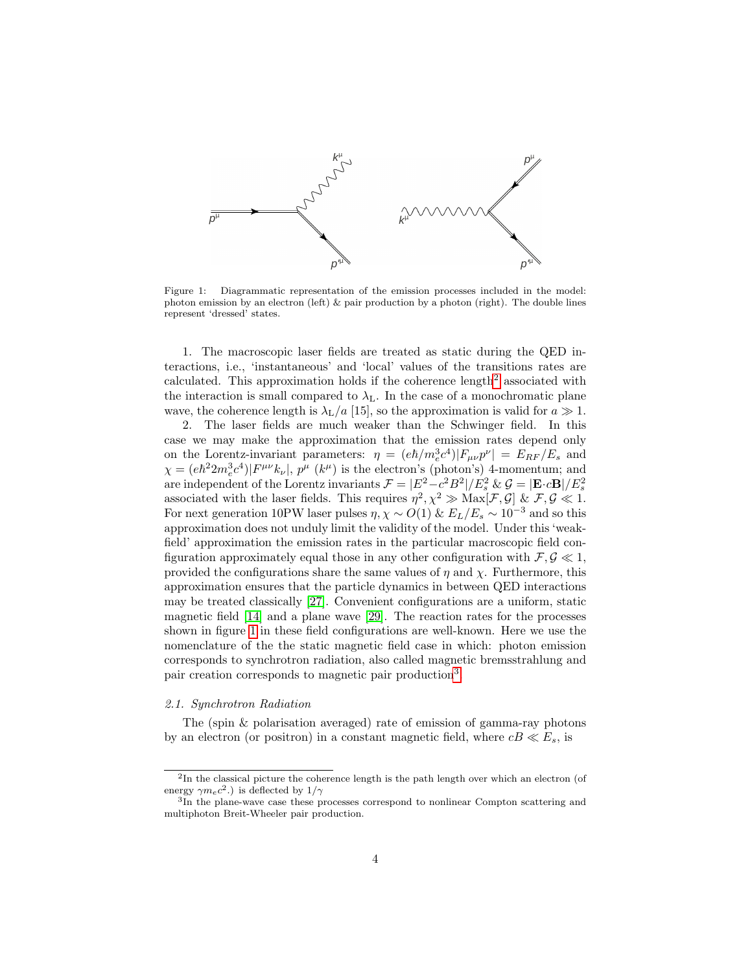

<span id="page-4-0"></span>Figure 1: Diagrammatic representation of the emission processes included in the model: photon emission by an electron (left) & pair production by a photon (right). The double lines represent 'dressed' states.

1. The macroscopic laser fields are treated as static during the QED interactions, i.e., 'instantaneous' and 'local' values of the transitions rates are calculated. This approximation holds if the coherence length<sup>[2](#page-4-1)</sup> associated with the interaction is small compared to  $\lambda_{\text{L}}$ . In the case of a monochromatic plane wave, the coherence length is  $\lambda_L/a$  [15], so the approximation is valid for  $a \gg 1$ .

2. The laser fields are much weaker than the Schwinger field. In this case we may make the approximation that the emission rates depend only on the Lorentz-invariant parameters:  $\eta = (e\hbar/m_e^3 c^4)|F_{\mu\nu}p^{\nu}| = E_{RF}/E_s$  and  $\chi = (e\hbar^2 2m_e^3 c^4)|F^{\mu\nu}k_\nu|, p^\mu (k^\mu)$  is the electron's (photon's) 4-momentum; and are independent of the Lorentz invariants  $\mathcal{F} = |E^2 - c^2 B^2| / E_s^2 \& \mathcal{G} = |\mathbf{E} \cdot c \mathbf{B}| / E_s^2$ associated with the laser fields. This requires  $\eta^2$ ,  $\chi^2 \gg$  Max[F, G] & F, G  $\ll$  1. For next generation 10PW laser pulses  $\eta$ ,  $\chi \sim O(1)$  &  $E_L/E_s \sim 10^{-3}$  and so this approximation does not unduly limit the validity of the model. Under this 'weakfield' approximation the emission rates in the particular macroscopic field configuration approximately equal those in any other configuration with  $\mathcal{F}, \mathcal{G} \ll 1$ , provided the configurations share the same values of  $\eta$  and  $\chi$ . Furthermore, this approximation ensures that the particle dynamics in between QED interactions may be treated classically [\[27\]](#page-22-0). Convenient configurations are a uniform, static magnetic field [\[14\]](#page-21-7) and a plane wave [\[29\]](#page-22-2). The reaction rates for the processes shown in figure [1](#page-4-0) in these field configurations are well-known. Here we use the nomenclature of the the static magnetic field case in which: photon emission corresponds to synchrotron radiation, also called magnetic bremsstrahlung and pair creation corresponds to magnetic pair production<sup>[3](#page-4-2)</sup>.

#### <span id="page-4-3"></span>2.1. Synchrotron Radiation

The (spin & polarisation averaged) rate of emission of gamma-ray photons by an electron (or positron) in a constant magnetic field, where  $cB \ll E_s$ , is

<span id="page-4-1"></span><sup>&</sup>lt;sup>2</sup>In the classical picture the coherence length is the path length over which an electron (of energy  $\gamma m_e c^2$ .) is deflected by  $1/\gamma$ 

<span id="page-4-2"></span><sup>&</sup>lt;sup>3</sup>In the plane-wave case these processes correspond to nonlinear Compton scattering and multiphoton Breit-Wheeler pair production.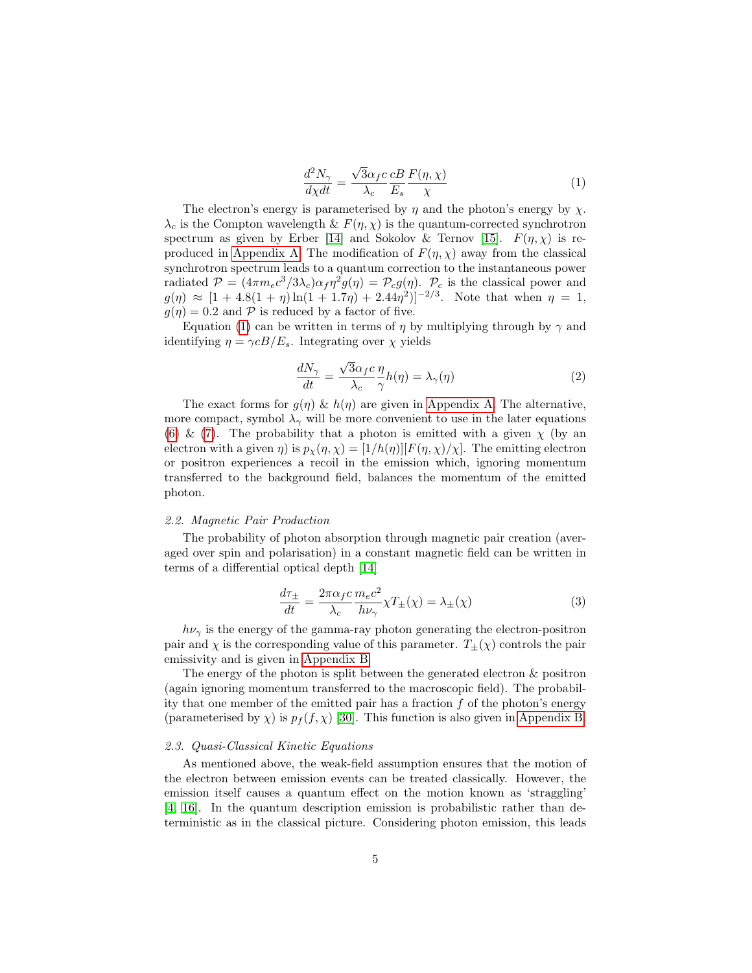<span id="page-5-0"></span>
$$
\frac{d^2N_{\gamma}}{d\chi dt} = \frac{\sqrt{3}\alpha_f c}{\lambda_c} \frac{c}{E_s} \frac{F(\eta, \chi)}{\chi} \tag{1}
$$

The electron's energy is parameterised by  $\eta$  and the photon's energy by  $\chi$ .  $\lambda_c$  is the Compton wavelength &  $F(\eta, \chi)$  is the quantum-corrected synchrotron spectrum as given by Erber [\[14\]](#page-21-7) and Sokolov & Ternov [\[15\]](#page-21-8).  $F(\eta, \chi)$  is re-produced in [Appendix A.](#page-18-0) The modification of  $F(\eta, \chi)$  away from the classical synchrotron spectrum leads to a quantum correction to the instantaneous power radiated  $\mathcal{P} = (4\pi m_e c^3/3\lambda_c)\alpha_f \eta^2 g(\eta) = \mathcal{P}_c g(\eta)$ .  $\mathcal{P}_c$  is the classical power and  $g(\eta) \approx [1 + 4.8(1 + \eta)\ln(1 + 1.7\eta) + 2.44\eta^2]^{-2/3}$ . Note that when  $\eta = 1$ ,  $g(\eta) = 0.2$  and P is reduced by a factor of five.

Equation [\(1\)](#page-5-0) can be written in terms of  $\eta$  by multiplying through by  $\gamma$  and identifying  $\eta = \gamma cB/E_s$ . Integrating over  $\chi$  yields

$$
\frac{dN_{\gamma}}{dt} = \frac{\sqrt{3}\alpha_{f}c}{\lambda_{c}} \frac{\eta}{\gamma} h(\eta) = \lambda_{\gamma}(\eta)
$$
\n(2)

The exact forms for  $g(\eta) \& h(\eta)$  are given in [Appendix A.](#page-18-0) The alternative, more compact, symbol  $\lambda_{\gamma}$  will be more convenient to use in the later equations [\(6\)](#page-7-0) & [\(7\)](#page-7-1). The probability that a photon is emitted with a given  $\chi$  (by an electron with a given  $\eta$ ) is  $p_{\chi}(\eta, \chi) = [1/h(\eta)][F(\eta, \chi)/\chi]$ . The emitting electron or positron experiences a recoil in the emission which, ignoring momentum transferred to the background field, balances the momentum of the emitted photon.

#### 2.2. Magnetic Pair Production

The probability of photon absorption through magnetic pair creation (averaged over spin and polarisation) in a constant magnetic field can be written in terms of a differential optical depth [\[14\]](#page-21-7)

$$
\frac{d\tau_{\pm}}{dt} = \frac{2\pi\alpha_{f}c}{\lambda_{c}} \frac{m_{e}c^{2}}{h\nu_{\gamma}} \chi T_{\pm}(\chi) = \lambda_{\pm}(\chi)
$$
\n(3)

 $h\nu_{\gamma}$  is the energy of the gamma-ray photon generating the electron-positron pair and  $\chi$  is the corresponding value of this parameter.  $T_{\pm}(\chi)$  controls the pair emissivity and is given in [Appendix B.](#page-19-0)

The energy of the photon is split between the generated electron & positron (again ignoring momentum transferred to the macroscopic field). The probability that one member of the emitted pair has a fraction  $f$  of the photon's energy (parameterised by  $\chi$ ) is  $p_f(f, \chi)$  [\[30\]](#page-22-3). This function is also given in [Appendix B.](#page-19-0)

## <span id="page-5-1"></span>2.3. Quasi-Classical Kinetic Equations

As mentioned above, the weak-field assumption ensures that the motion of the electron between emission events can be treated classically. However, the emission itself causes a quantum effect on the motion known as 'straggling' [\[4,](#page-20-3) [16\]](#page-21-9). In the quantum description emission is probabilistic rather than deterministic as in the classical picture. Considering photon emission, this leads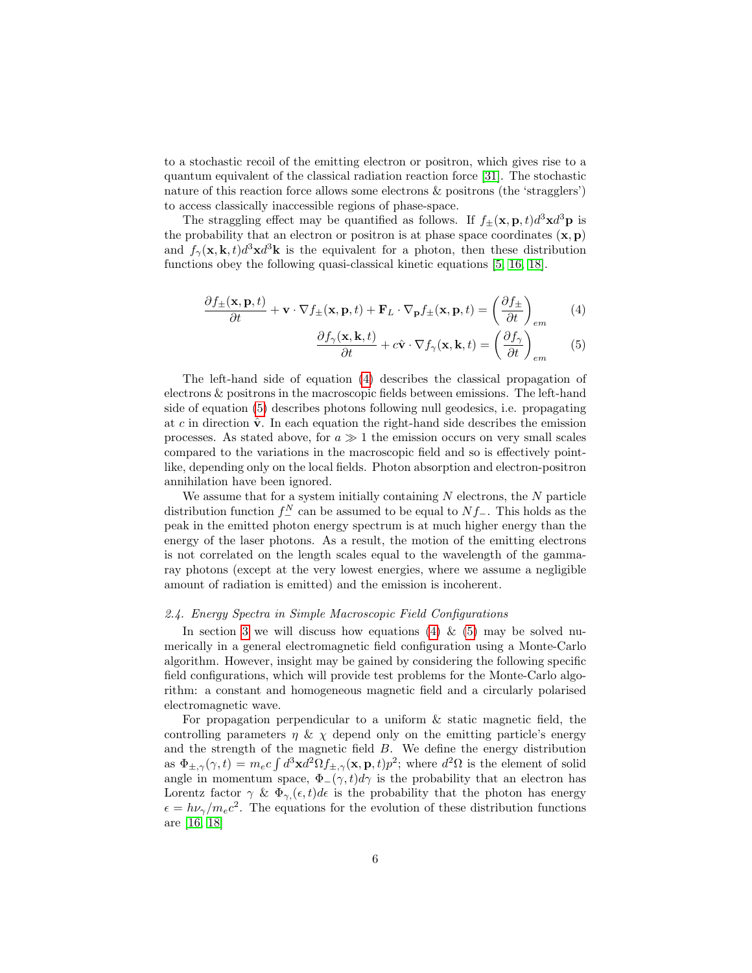to a stochastic recoil of the emitting electron or positron, which gives rise to a quantum equivalent of the classical radiation reaction force [\[31\]](#page-22-4). The stochastic nature of this reaction force allows some electrons & positrons (the 'stragglers') to access classically inaccessible regions of phase-space.

The straggling effect may be quantified as follows. If  $f_{\pm}(\mathbf{x}, \mathbf{p}, t) d^3 \mathbf{x} d^3 \mathbf{p}$  is the probability that an electron or positron is at phase space coordinates  $(x, p)$ and  $f_{\gamma}(\mathbf{x}, \mathbf{k}, t) d^3 \mathbf{x} d^3 \mathbf{k}$  is the equivalent for a photon, then these distribution functions obey the following quasi-classical kinetic equations [\[5,](#page-20-4) [16,](#page-21-9) [18\]](#page-21-11).

$$
\frac{\partial f_{\pm}(\mathbf{x}, \mathbf{p}, t)}{\partial t} + \mathbf{v} \cdot \nabla f_{\pm}(\mathbf{x}, \mathbf{p}, t) + \mathbf{F}_L \cdot \nabla_{\mathbf{p}} f_{\pm}(\mathbf{x}, \mathbf{p}, t) = \left(\frac{\partial f_{\pm}}{\partial t}\right)_{em} \tag{4}
$$

<span id="page-6-1"></span><span id="page-6-0"></span>
$$
\frac{\partial f_{\gamma}(\mathbf{x}, \mathbf{k}, t)}{\partial t} + c\hat{\mathbf{v}} \cdot \nabla f_{\gamma}(\mathbf{x}, \mathbf{k}, t) = \left(\frac{\partial f_{\gamma}}{\partial t}\right)_{em}
$$
(5)

The left-hand side of equation [\(4\)](#page-6-0) describes the classical propagation of electrons & positrons in the macroscopic fields between emissions. The left-hand side of equation [\(5\)](#page-6-1) describes photons following null geodesics, i.e. propagating at c in direction  $\hat{\mathbf{v}}$ . In each equation the right-hand side describes the emission processes. As stated above, for  $a \gg 1$  the emission occurs on very small scales compared to the variations in the macroscopic field and so is effectively pointlike, depending only on the local fields. Photon absorption and electron-positron annihilation have been ignored.

We assume that for a system initially containing  $N$  electrons, the  $N$  particle distribution function  $f_-^N$  can be assumed to be equal to  $Nf_$ . This holds as the peak in the emitted photon energy spectrum is at much higher energy than the energy of the laser photons. As a result, the motion of the emitting electrons is not correlated on the length scales equal to the wavelength of the gammaray photons (except at the very lowest energies, where we assume a negligible amount of radiation is emitted) and the emission is incoherent.

#### 2.4. Energy Spectra in Simple Macroscopic Field Configurations

In section [3](#page-8-0) we will discuss how equations [\(4\)](#page-6-0) & [\(5\)](#page-6-1) may be solved numerically in a general electromagnetic field configuration using a Monte-Carlo algorithm. However, insight may be gained by considering the following specific field configurations, which will provide test problems for the Monte-Carlo algorithm: a constant and homogeneous magnetic field and a circularly polarised electromagnetic wave.

For propagation perpendicular to a uniform  $\&$  static magnetic field, the controlling parameters  $\eta \& \chi$  depend only on the emitting particle's energy and the strength of the magnetic field  $B$ . We define the energy distribution as  $\Phi_{\pm,\gamma}(\gamma,t) = m_e c \int d^3x d^2\Omega f_{\pm,\gamma}(\mathbf{x},\mathbf{p},t) p^2$ ; where  $d^2\Omega$  is the element of solid angle in momentum space,  $\Phi_-(\gamma, t)d\gamma$  is the probability that an electron has Lorentz factor  $\gamma \& \Phi_{\gamma}(\epsilon, t) d\epsilon$  is the probability that the photon has energy  $\epsilon = h\nu_{\gamma}/m_{e}c^{2}$ . The equations for the evolution of these distribution functions are [\[16,](#page-21-9) [18\]](#page-21-11)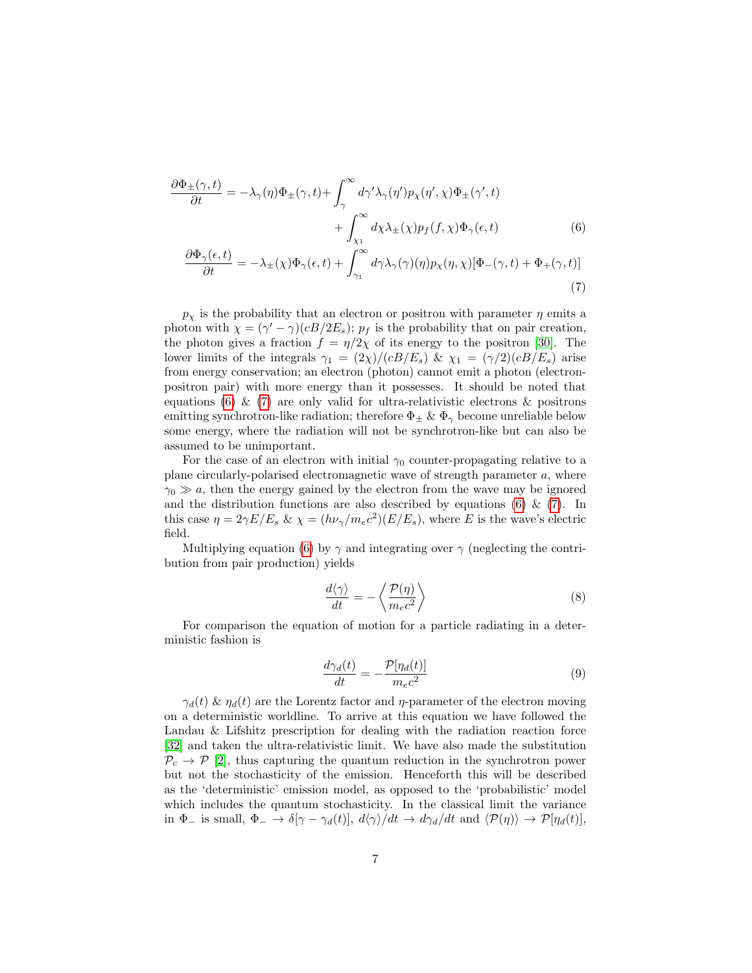$$
\frac{\partial \Phi_{\pm}(\gamma, t)}{\partial t} = -\lambda_{\gamma}(\eta) \Phi_{\pm}(\gamma, t) + \int_{\gamma}^{\infty} d\gamma' \lambda_{\gamma}(\eta') p_{\chi}(\eta', \chi) \Phi_{\pm}(\gamma', t) \n+ \int_{\chi_{1}}^{\infty} d\chi \lambda_{\pm}(\chi) p_{f}(f, \chi) \Phi_{\gamma}(\epsilon, t) \n\frac{\partial \Phi_{\gamma}(\epsilon, t)}{\partial \xi} = -\lambda_{\gamma}(\gamma) \Phi_{\gamma}(\epsilon, t) + \int_{\gamma}^{\infty} d\chi \lambda_{\pm}(\chi) p_{f}(f, \chi) \Phi_{\gamma}(\epsilon, t) + \Phi_{\gamma}(\gamma, t) \Psi_{\gamma}(\epsilon, t)
$$
\n(6)

<span id="page-7-1"></span><span id="page-7-0"></span>
$$
\frac{\partial \Phi_{\gamma}(\epsilon, t)}{\partial t} = -\lambda_{\pm}(\chi)\Phi_{\gamma}(\epsilon, t) + \int_{\gamma_{1}}^{\infty} d\gamma \lambda_{\gamma}(\gamma)(\eta) p_{\chi}(\eta, \chi)[\Phi_{-}(\gamma, t) + \Phi_{+}(\gamma, t)] \tag{7}
$$

 $p<sub>x</sub>$  is the probability that an electron or positron with parameter  $\eta$  emits a photon with  $\chi = (\gamma' - \gamma)(cB/2E_s); p_f$  is the probability that on pair creation, the photon gives a fraction  $f = \eta/2\chi$  of its energy to the positron [\[30\]](#page-22-3). The lower limits of the integrals  $\gamma_1 = (2\chi)/(cB/E_s)$  &  $\chi_1 = (\gamma/2)(cB/E_s)$  arise from energy conservation; an electron (photon) cannot emit a photon (electronpositron pair) with more energy than it possesses. It should be noted that equations [\(6\)](#page-7-0) & [\(7\)](#page-7-1) are only valid for ultra-relativistic electrons & positrons emitting synchrotron-like radiation; therefore  $\Phi_{\pm} \& \Phi_{\gamma}$  become unreliable below some energy, where the radiation will not be synchrotron-like but can also be assumed to be unimportant.

For the case of an electron with initial  $\gamma_0$  counter-propagating relative to a plane circularly-polarised electromagnetic wave of strength parameter a, where  $\gamma_0 \gg a$ , then the energy gained by the electron from the wave may be ignored and the distribution functions are also described by equations [\(6\)](#page-7-0)  $\&$  [\(7\)](#page-7-1). In this case  $\eta = 2\gamma E/E_s \& \chi = (h\nu_{\gamma}/m_e c^2)(E/E_s)$ , where E is the wave's electric field.

Multiplying equation [\(6\)](#page-7-0) by  $\gamma$  and integrating over  $\gamma$  (neglecting the contribution from pair production) yields

<span id="page-7-2"></span>
$$
\frac{d\langle\gamma\rangle}{dt} = -\left\langle \frac{\mathcal{P}(\eta)}{m_e c^2} \right\rangle \tag{8}
$$

For comparison the equation of motion for a particle radiating in a deterministic fashion is

<span id="page-7-3"></span>
$$
\frac{d\gamma_d(t)}{dt} = -\frac{\mathcal{P}[\eta_d(t)]}{m_e c^2} \tag{9}
$$

 $\gamma_d(t)$  &  $\eta_d(t)$  are the Lorentz factor and  $\eta$ -parameter of the electron moving on a deterministic worldline. To arrive at this equation we have followed the Landau & Lifshitz prescription for dealing with the radiation reaction force [\[32\]](#page-22-5) and taken the ultra-relativistic limit. We have also made the substitution  $\mathcal{P}_c \rightarrow \mathcal{P}$  [\[2\]](#page-20-1), thus capturing the quantum reduction in the synchrotron power but not the stochasticity of the emission. Henceforth this will be described as the 'deterministic' emission model, as opposed to the 'probabilistic' model which includes the quantum stochasticity. In the classical limit the variance in  $\Phi_-$  is small,  $\Phi_- \to \delta[\gamma - \gamma_d(t)], d\langle \gamma \rangle / dt \to d\gamma_d/dt$  and  $\langle \mathcal{P}(\eta) \rangle \to \mathcal{P}[\eta_d(t)],$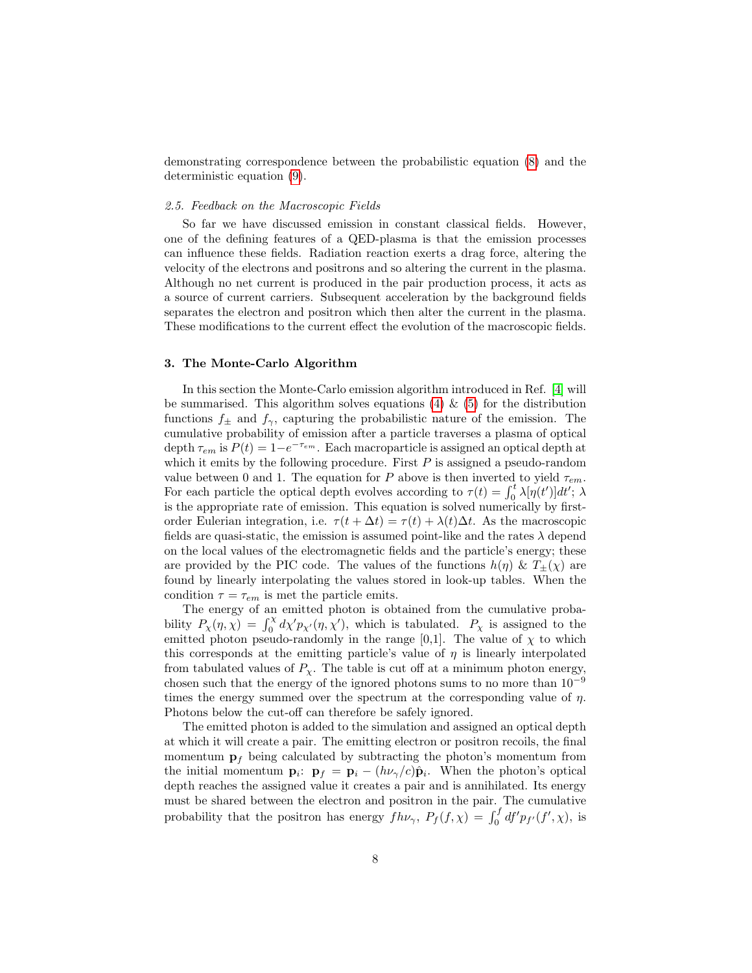demonstrating correspondence between the probabilistic equation [\(8\)](#page-7-2) and the deterministic equation [\(9\)](#page-7-3).

#### <span id="page-8-1"></span>2.5. Feedback on the Macroscopic Fields

So far we have discussed emission in constant classical fields. However, one of the defining features of a QED-plasma is that the emission processes can influence these fields. Radiation reaction exerts a drag force, altering the velocity of the electrons and positrons and so altering the current in the plasma. Although no net current is produced in the pair production process, it acts as a source of current carriers. Subsequent acceleration by the background fields separates the electron and positron which then alter the current in the plasma. These modifications to the current effect the evolution of the macroscopic fields.

## <span id="page-8-0"></span>3. The Monte-Carlo Algorithm

In this section the Monte-Carlo emission algorithm introduced in Ref. [\[4\]](#page-20-3) will be summarised. This algorithm solves equations [\(4\)](#page-6-0)  $\&$  [\(5\)](#page-6-1) for the distribution functions  $f_{\pm}$  and  $f_{\gamma}$ , capturing the probabilistic nature of the emission. The cumulative probability of emission after a particle traverses a plasma of optical depth  $\tau_{em}$  is  $P(t) = 1 - e^{-\tau_{em}}$ . Each macroparticle is assigned an optical depth at which it emits by the following procedure. First  $P$  is assigned a pseudo-random value between 0 and 1. The equation for P above is then inverted to yield  $\tau_{em}$ . For each particle the optical depth evolves according to  $\tau(t) = \int_0^t \lambda[\eta(t')]dt'$ ;  $\lambda$ is the appropriate rate of emission. This equation is solved numerically by firstorder Eulerian integration, i.e.  $\tau(t + \Delta t) = \tau(t) + \lambda(t)\Delta t$ . As the macroscopic fields are quasi-static, the emission is assumed point-like and the rates  $\lambda$  depend on the local values of the electromagnetic fields and the particle's energy; these are provided by the PIC code. The values of the functions  $h(\eta) \& T_{\pm}(\chi)$  are found by linearly interpolating the values stored in look-up tables. When the condition  $\tau = \tau_{em}$  is met the particle emits.

The energy of an emitted photon is obtained from the cumulative probability  $P_\chi(\eta, \chi) = \int_0^\chi d\chi' p_{\chi'}(\eta, \chi')$ , which is tabulated.  $P_\chi$  is assigned to the emitted photon pseudo-randomly in the range [0,1]. The value of  $\chi$  to which this corresponds at the emitting particle's value of  $\eta$  is linearly interpolated from tabulated values of  $P_{\chi}$ . The table is cut off at a minimum photon energy, chosen such that the energy of the ignored photons sums to no more than  $10^{-9}$ times the energy summed over the spectrum at the corresponding value of  $\eta$ . Photons below the cut-off can therefore be safely ignored.

The emitted photon is added to the simulation and assigned an optical depth at which it will create a pair. The emitting electron or positron recoils, the final momentum  $\mathbf{p}_f$  being calculated by subtracting the photon's momentum from the initial momentum  ${\bf p}_i$ :  ${\bf p}_f = {\bf p}_i - (h\nu_{\gamma}/c){\bf \hat{p}}_i$ . When the photon's optical depth reaches the assigned value it creates a pair and is annihilated. Its energy must be shared between the electron and positron in the pair. The cumulative probability that the positron has energy  $fh\nu_\gamma$ ,  $P_f(f, \chi) = \int_0^f df' p_{f'}(f', \chi)$ , is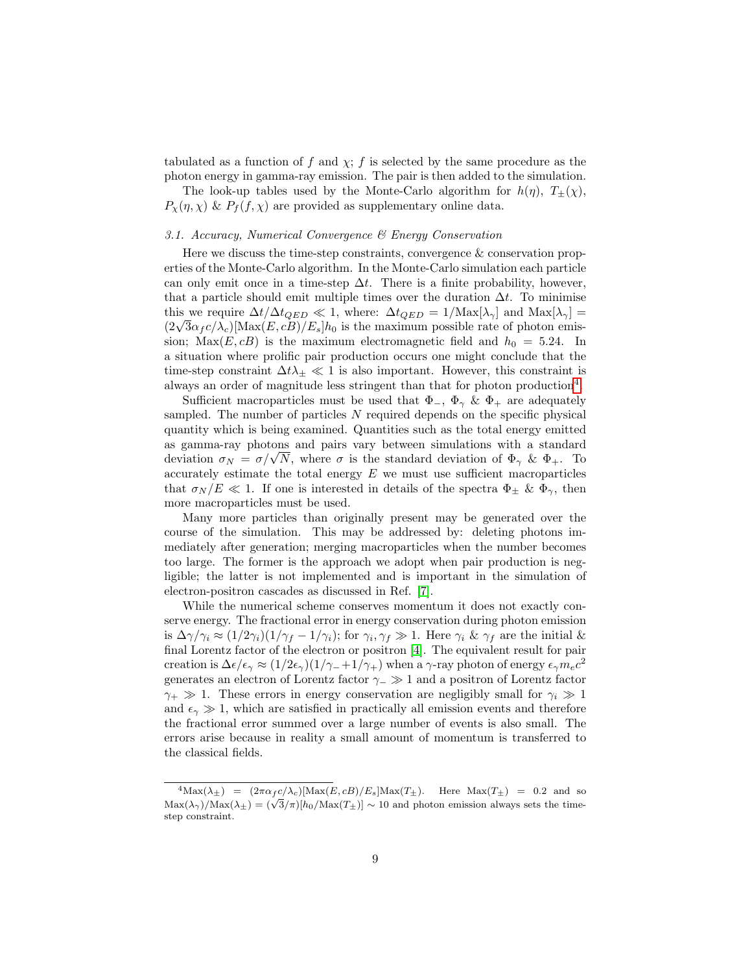tabulated as a function of f and  $\chi$ ; f is selected by the same procedure as the photon energy in gamma-ray emission. The pair is then added to the simulation.

The look-up tables used by the Monte-Carlo algorithm for  $h(\eta)$ ,  $T_{+}(\chi)$ ,  $P_{\chi}(\eta, \chi)$  &  $P_{f}(f, \chi)$  are provided as supplementary online data.

## <span id="page-9-1"></span>3.1. Accuracy, Numerical Convergence & Energy Conservation

Here we discuss the time-step constraints, convergence & conservation properties of the Monte-Carlo algorithm. In the Monte-Carlo simulation each particle can only emit once in a time-step  $\Delta t$ . There is a finite probability, however, that a particle should emit multiple times over the duration  $\Delta t$ . To minimise this we require  $\Delta t/\Delta t_{QED} \ll 1$ , where:  $\Delta t_{QED} = 1/\text{Max}[\lambda_{\gamma}]$  and  $\text{Max}[\lambda_{\gamma}] =$ this we require  $\Delta t/\Delta t_{QED} \ll 1$ , where:  $\Delta t_{QED} = 1/\text{Max}[\lambda_{\gamma}]$  and  $\text{Max}[\lambda_{\gamma}] = (2\sqrt{3}\alpha_f c/\lambda_c)[\text{Max}(E, cB)/E_s]h_0$  is the maximum possible rate of photon emission;  $Max(E, cB)$  is the maximum electromagnetic field and  $h_0 = 5.24$ . In a situation where prolific pair production occurs one might conclude that the time-step constraint  $\Delta t \lambda_{\pm} \ll 1$  is also important. However, this constraint is always an order of magnitude less stringent than that for photon production<sup>[4](#page-9-0)</sup>.

Sufficient macroparticles must be used that  $\Phi_-, \Phi_\gamma \& \Phi_+$  are adequately sampled. The number of particles  $N$  required depends on the specific physical quantity which is being examined. Quantities such as the total energy emitted as gamma-ray photons and pairs vary between simulations with a standard as gamma-ray photons and pairs vary between simulations with a standard deviation  $\sigma_N = \sigma/\sqrt{N}$ , where  $\sigma$  is the standard deviation of  $\Phi_\gamma \& \Phi_+$ . To accurately estimate the total energy  $E$  we must use sufficient macroparticles that  $\sigma_N/E \ll 1$ . If one is interested in details of the spectra  $\Phi_{\pm} \& \Phi_{\gamma}$ , then more macroparticles must be used.

Many more particles than originally present may be generated over the course of the simulation. This may be addressed by: deleting photons immediately after generation; merging macroparticles when the number becomes too large. The former is the approach we adopt when pair production is negligible; the latter is not implemented and is important in the simulation of electron-positron cascades as discussed in Ref. [\[7\]](#page-21-0).

While the numerical scheme conserves momentum it does not exactly conserve energy. The fractional error in energy conservation during photon emission is  $\Delta\gamma/\gamma_i \approx (1/2\gamma_i)(1/\gamma_f - 1/\gamma_i)$ ; for  $\gamma_i, \gamma_f \gg 1$ . Here  $\gamma_i \& \gamma_f$  are the initial & final Lorentz factor of the electron or positron [\[4\]](#page-20-3). The equivalent result for pair creation is  $\Delta \epsilon / \epsilon_{\gamma} \approx (1/2\epsilon_{\gamma})(1/\gamma_-+1/\gamma_+)$  when a  $\gamma$ -ray photon of energy  $\epsilon_{\gamma} m_e c^2$ generates an electron of Lorentz factor  $\gamma_-\gg 1$  and a positron of Lorentz factor  $\gamma_+ \gg 1$ . These errors in energy conservation are negligibly small for  $\gamma_i \gg 1$ and  $\epsilon_{\gamma} \gg 1$ , which are satisfied in practically all emission events and therefore the fractional error summed over a large number of events is also small. The errors arise because in reality a small amount of momentum is transferred to the classical fields.

<span id="page-9-0"></span> ${}^{4}\text{Max}(\lambda_{\pm}) = (2\pi\alpha_f c/\lambda_c)[\text{Max}(E, cB)/E_s]\text{Max}(T_{\pm}).$  Here  $\text{Max}(T_{\pm}) = 0.2$  and so  $\text{Max}(\lambda_{\pm}) = (2\pi\alpha f c/\lambda_c)[\text{Max}(L, cD)/L_s]\text{Max}(L_{\pm})$ . Here  $\text{Max}(L_{\pm}) = 0.2$  and so  $\text{Max}(\lambda_{\gamma})/\text{Max}(\lambda_{\pm}) = (\sqrt{3}/\pi)[h_0/\text{Max}(T_{\pm})] \sim 10$  and photon emission always sets the timestep constraint.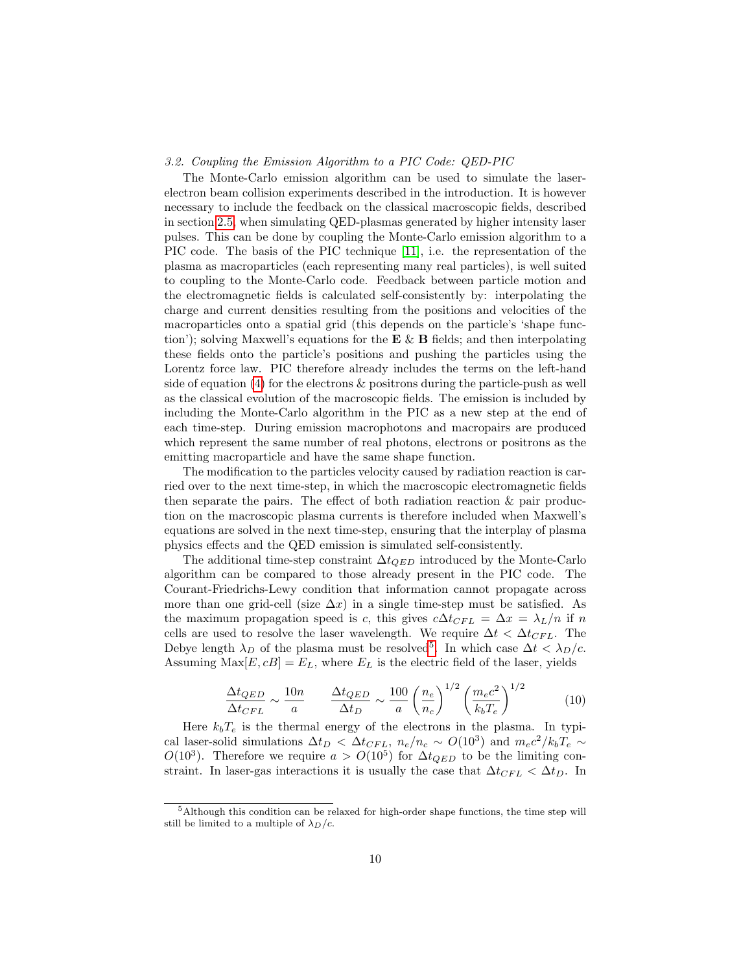#### 3.2. Coupling the Emission Algorithm to a PIC Code: QED-PIC

The Monte-Carlo emission algorithm can be used to simulate the laserelectron beam collision experiments described in the introduction. It is however necessary to include the feedback on the classical macroscopic fields, described in section [2.5,](#page-8-1) when simulating QED-plasmas generated by higher intensity laser pulses. This can be done by coupling the Monte-Carlo emission algorithm to a PIC code. The basis of the PIC technique [\[11\]](#page-21-4), i.e. the representation of the plasma as macroparticles (each representing many real particles), is well suited to coupling to the Monte-Carlo code. Feedback between particle motion and the electromagnetic fields is calculated self-consistently by: interpolating the charge and current densities resulting from the positions and velocities of the macroparticles onto a spatial grid (this depends on the particle's 'shape function'); solving Maxwell's equations for the  $E \& B$  fields; and then interpolating these fields onto the particle's positions and pushing the particles using the Lorentz force law. PIC therefore already includes the terms on the left-hand side of equation  $(4)$  for the electrons  $\&$  positrons during the particle-push as well as the classical evolution of the macroscopic fields. The emission is included by including the Monte-Carlo algorithm in the PIC as a new step at the end of each time-step. During emission macrophotons and macropairs are produced which represent the same number of real photons, electrons or positrons as the emitting macroparticle and have the same shape function.

The modification to the particles velocity caused by radiation reaction is carried over to the next time-step, in which the macroscopic electromagnetic fields then separate the pairs. The effect of both radiation reaction & pair production on the macroscopic plasma currents is therefore included when Maxwell's equations are solved in the next time-step, ensuring that the interplay of plasma physics effects and the QED emission is simulated self-consistently.

The additional time-step constraint  $\Delta t_{QED}$  introduced by the Monte-Carlo algorithm can be compared to those already present in the PIC code. The Courant-Friedrichs-Lewy condition that information cannot propagate across more than one grid-cell (size  $\Delta x$ ) in a single time-step must be satisfied. As the maximum propagation speed is c, this gives  $c\Delta t_{CFL} = \Delta x = \lambda_L/n$  if n cells are used to resolve the laser wavelength. We require  $\Delta t < \Delta t_{CFL}$ . The Debye length  $\lambda_D$  of the plasma must be resolved<sup>[5](#page-10-0)</sup>. In which case  $\Delta t < \lambda_D/c$ . Assuming  $Max[E, cB] = E_L$ , where  $E_L$  is the electric field of the laser, yields

$$
\frac{\Delta t_{QED}}{\Delta t_{CFL}} \sim \frac{10n}{a} \qquad \frac{\Delta t_{QED}}{\Delta t_D} \sim \frac{100}{a} \left(\frac{n_e}{n_c}\right)^{1/2} \left(\frac{m_e c^2}{k_b T_e}\right)^{1/2} \tag{10}
$$

Here  $k_bT_e$  is the thermal energy of the electrons in the plasma. In typical laser-solid simulations  $\Delta t_D < \Delta t_{CFL}$ ,  $n_e/n_c \sim O(10^3)$  and  $m_e c^2 / k_b T_e \sim$  $O(10^3)$ . Therefore we require  $a > O(10^5)$  for  $\Delta t_{QED}$  to be the limiting constraint. In laser-gas interactions it is usually the case that  $\Delta t_{CFL} < \Delta t_D$ . In

<span id="page-10-0"></span> $5$ Although this condition can be relaxed for high-order shape functions, the time step will still be limited to a multiple of  $\lambda_D/c$ .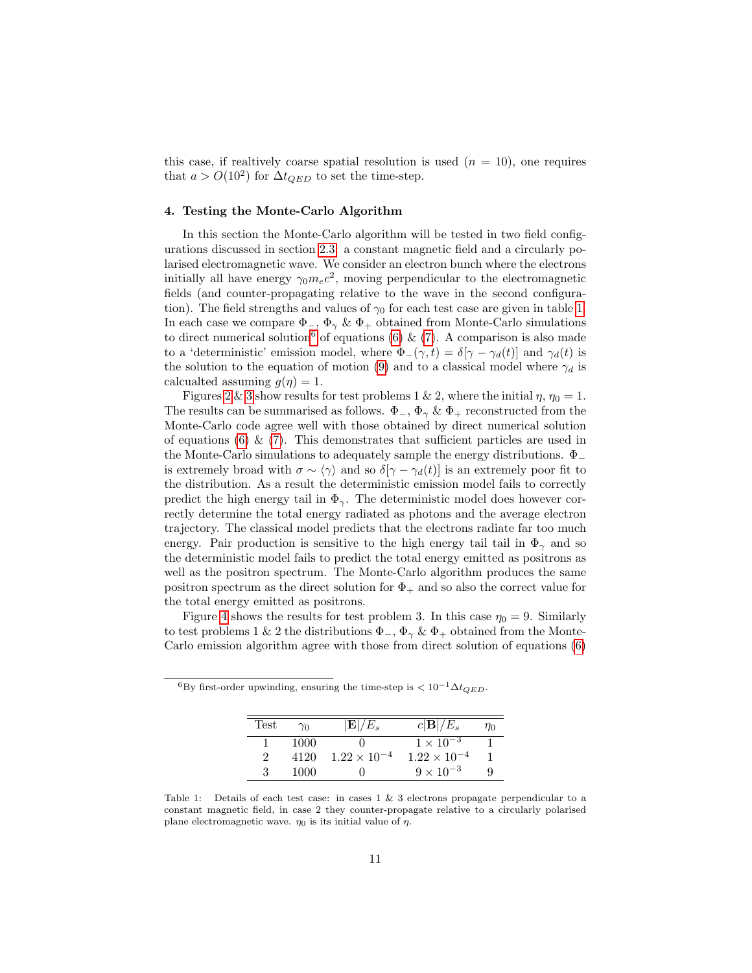this case, if realtively coarse spatial resolution is used  $(n = 10)$ , one requires that  $a > O(10^2)$  for  $\Delta t_{QED}$  to set the time-step.

#### <span id="page-11-2"></span>4. Testing the Monte-Carlo Algorithm

In this section the Monte-Carlo algorithm will be tested in two field configurations discussed in section [2.3:](#page-5-1) a constant magnetic field and a circularly polarised electromagnetic wave. We consider an electron bunch where the electrons initially all have energy  $\gamma_0 m_e c^2$ , moving perpendicular to the electromagnetic fields (and counter-propagating relative to the wave in the second configuration). The field strengths and values of  $\gamma_0$  for each test case are given in table [1.](#page-11-0) In each case we compare  $\Phi_-, \Phi_\gamma \& \Phi_+$  obtained from Monte-Carlo simulations to direct numerical solution<sup>[6](#page-11-1)</sup> of equations [\(6\)](#page-7-0) & [\(7\)](#page-7-1). A comparison is also made to a 'deterministic' emission model, where  $\Phi_-(\gamma, t) = \delta[\gamma - \gamma_d(t)]$  and  $\gamma_d(t)$  is the solution to the equation of motion [\(9\)](#page-7-3) and to a classical model where  $\gamma_d$  is calcualted assuming  $q(\eta) = 1$ .

Figures [2](#page-13-0) & [3](#page-14-0) show results for test problems 1 & 2, where the initial  $\eta$ ,  $\eta_0 = 1$ . The results can be summarised as follows.  $\Phi_-, \Phi_\gamma \& \Phi_+$  reconstructed from the Monte-Carlo code agree well with those obtained by direct numerical solution of equations  $(6) \& (7)$  $(6) \& (7)$  $(6) \& (7)$ . This demonstrates that sufficient particles are used in the Monte-Carlo simulations to adequately sample the energy distributions.  $\Phi$ <sub>-</sub> is extremely broad with  $\sigma \sim \langle \gamma \rangle$  and so  $\delta[\gamma - \gamma_d(t)]$  is an extremely poor fit to the distribution. As a result the deterministic emission model fails to correctly predict the high energy tail in  $\Phi_{\gamma}$ . The deterministic model does however correctly determine the total energy radiated as photons and the average electron trajectory. The classical model predicts that the electrons radiate far too much energy. Pair production is sensitive to the high energy tail tail in  $\Phi_{\gamma}$  and so the deterministic model fails to predict the total energy emitted as positrons as well as the positron spectrum. The Monte-Carlo algorithm produces the same positron spectrum as the direct solution for  $\Phi_+$  and so also the correct value for the total energy emitted as positrons.

Figure [4](#page-15-0) shows the results for test problem 3. In this case  $\eta_0 = 9$ . Similarly to test problems 1 & 2 the distributions  $\Phi_-, \Phi_\gamma \& \Phi_+$  obtained from the Monte-Carlo emission algorithm agree with those from direct solution of equations [\(6\)](#page-7-0)

| 'Test | $\gamma_0$ | $ {\bf E} /E_*$       | $c \mathbf{B} /E_s$   | $\eta_0$ |
|-------|------------|-----------------------|-----------------------|----------|
|       | 1000       |                       | $1 \times 10^{-3}$    |          |
|       | 4120       | $1.22 \times 10^{-4}$ | $1.22 \times 10^{-4}$ |          |
|       | 1000       |                       | $9 \times 10^{-3}$    |          |

<span id="page-11-1"></span> ${}^{6}$ By first-order upwinding, ensuring the time-step is  $< 10^{-1} \Delta t_{QED}$ .

<span id="page-11-0"></span>Table 1: Details of each test case: in cases 1 & 3 electrons propagate perpendicular to a constant magnetic field, in case 2 they counter-propagate relative to a circularly polarised plane electromagnetic wave.  $\eta_0$  is its initial value of  $\eta$ .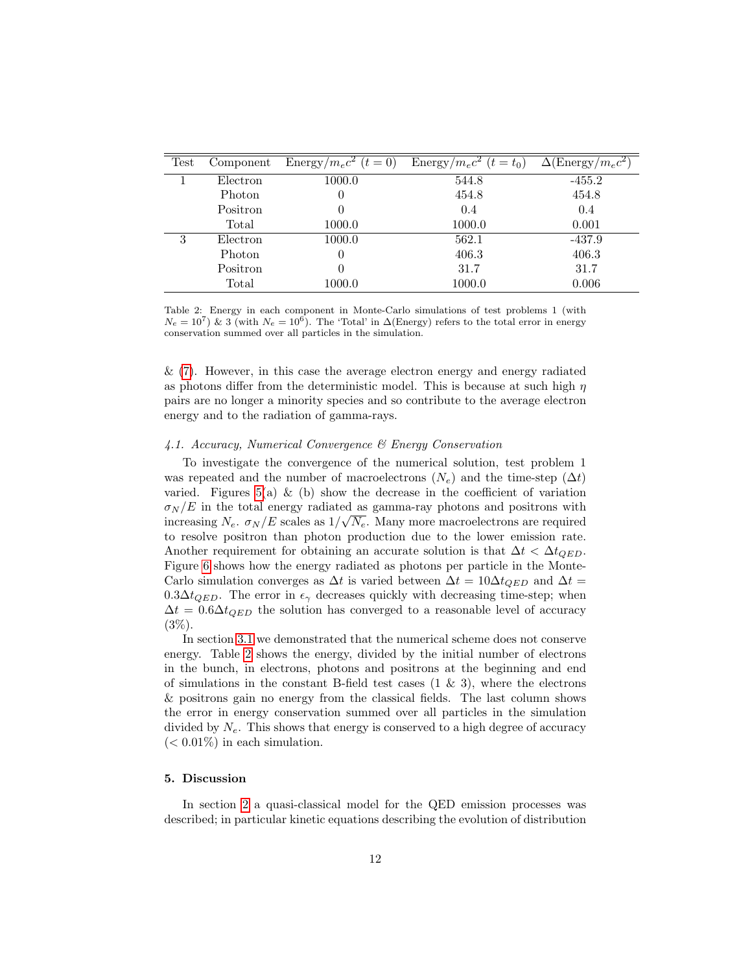| Test | Component | Energy/ $m_ec^2$ $(t=0)$ | Energy/ $m_ec^2$ $(t=t_0)$ | $\Delta(\text{Energy}/m_ec^2)$ |
|------|-----------|--------------------------|----------------------------|--------------------------------|
|      | Electron  | 1000.0                   | 544.8                      | $-455.2$                       |
|      | Photon    | 0                        | 454.8                      | 454.8                          |
|      | Positron  | 0                        | 0.4                        | 0.4                            |
|      | Total     | 1000.0                   | 1000.0                     | 0.001                          |
| 3    | Electron  | 1000.0                   | 562.1                      | $-437.9$                       |
|      | Photon    | 0                        | 406.3                      | 406.3                          |
|      | Positron  | 0                        | 31.7                       | 31.7                           |
|      | Total     | 1000.0                   | 1000.0                     | 0.006                          |

<span id="page-12-0"></span>Table 2: Energy in each component in Monte-Carlo simulations of test problems 1 (with  $N_e = 10^7$ ) & 3 (with  $N_e = 10^6$ ). The 'Total' in  $\Delta$ (Energy) refers to the total error in energy conservation summed over all particles in the simulation.

& [\(7\)](#page-7-1). However, in this case the average electron energy and energy radiated as photons differ from the deterministic model. This is because at such high  $\eta$ pairs are no longer a minority species and so contribute to the average electron energy and to the radiation of gamma-rays.

## 4.1. Accuracy, Numerical Convergence & Energy Conservation

To investigate the convergence of the numerical solution, test problem 1 was repeated and the number of macroelectrons  $(N_e)$  and the time-step  $(\Delta t)$ varied. Figures  $5(a) \& (b)$  show the decrease in the coefficient of variation  $\sigma_N/E$  in the total energy radiated as gamma-ray photons and positrons with increasing  $N_e$ .  $\sigma_N/E$  scales as  $1/\sqrt{N_e}$ . Many more macroelectrons are required to resolve positron than photon production due to the lower emission rate. Another requirement for obtaining an accurate solution is that  $\Delta t < \Delta t_{QED}$ . Figure [6](#page-16-1) shows how the energy radiated as photons per particle in the Monte-Carlo simulation converges as  $\Delta t$  is varied between  $\Delta t = 10 \Delta t_{QED}$  and  $\Delta t =$  $0.3\Delta t_{OED}$ . The error in  $\epsilon_{\gamma}$  decreases quickly with decreasing time-step; when  $\Delta t = 0.6 \Delta t_{QED}$  the solution has converged to a reasonable level of accuracy  $(3\%).$ 

In section [3.1](#page-9-1) we demonstrated that the numerical scheme does not conserve energy. Table [2](#page-12-0) shows the energy, divided by the initial number of electrons in the bunch, in electrons, photons and positrons at the beginning and end of simulations in the constant B-field test cases  $(1 \& 3)$ , where the electrons & positrons gain no energy from the classical fields. The last column shows the error in energy conservation summed over all particles in the simulation divided by  $N_e$ . This shows that energy is conserved to a high degree of accuracy  $(< 0.01\%)$  in each simulation.

## 5. Discussion

In section [2](#page-3-0) a quasi-classical model for the QED emission processes was described; in particular kinetic equations describing the evolution of distribution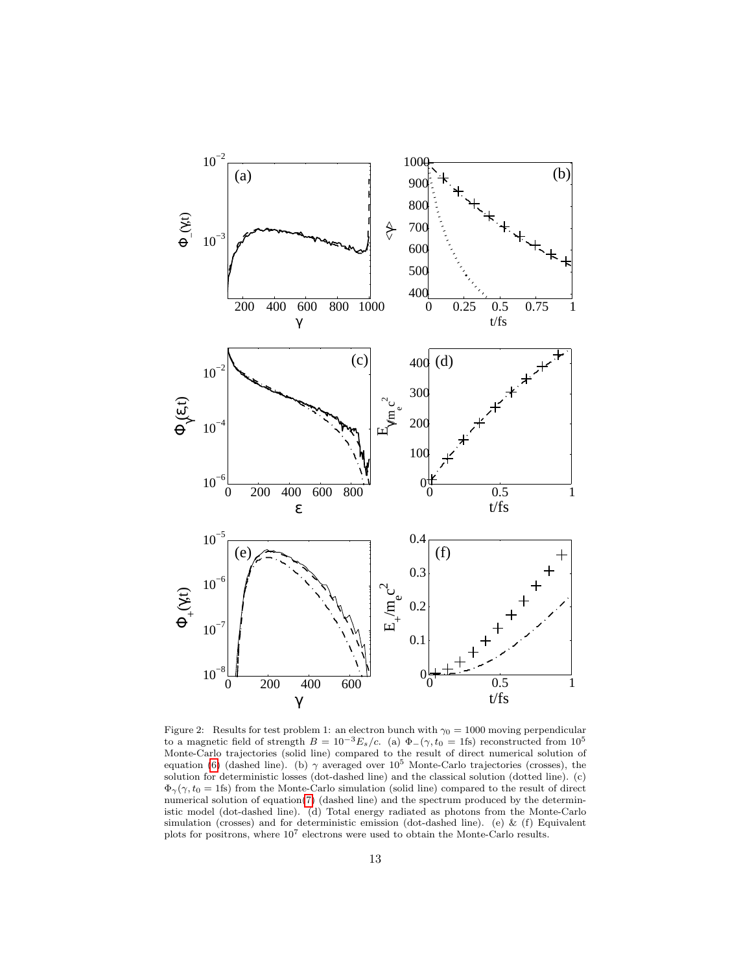

<span id="page-13-0"></span>Figure 2: Results for test problem 1: an electron bunch with  $\gamma_0 = 1000$  moving perpendicular to a magnetic field of strength  $B = 10^{-3} E_s/c$ . (a)  $\Phi_-(\gamma, t_0 = 1 \text{fs})$  reconstructed from  $10^5$ Monte-Carlo trajectories (solid line) compared to the result of direct numerical solution of equation [\(6\)](#page-7-0) (dashed line). (b)  $\gamma$  averaged over 10<sup>5</sup> Monte-Carlo trajectories (crosses), the solution for deterministic losses (dot-dashed line) and the classical solution (dotted line). (c)  $\Phi_{\gamma}(\gamma, t_0 = 1$  fs) from the Monte-Carlo simulation (solid line) compared to the result of direct numerical solution of equation[\(7\)](#page-7-1) (dashed line) and the spectrum produced by the deterministic model (dot-dashed line). (d) Total energy radiated as photons from the Monte-Carlo simulation (crosses) and for deterministic emission (dot-dashed line). (e) & (f) Equivalent plots for positrons, where 10<sup>7</sup> electrons were used to obtain the Monte-Carlo results.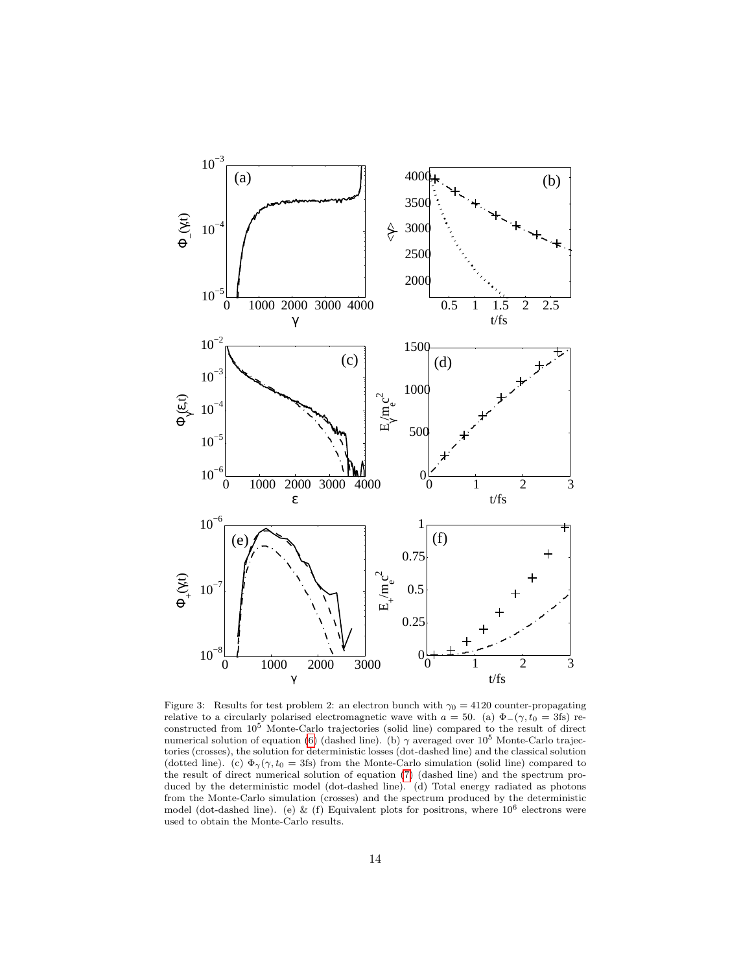

<span id="page-14-0"></span>Figure 3: Results for test problem 2: an electron bunch with  $\gamma_0 = 4120$  counter-propagating relative to a circularly polarised electromagnetic wave with  $a = 50$ . (a)  $\Phi_-(\gamma, t_0 = 3 \text{fs})$  reconstructed from 10<sup>5</sup> Monte-Carlo trajectories (solid line) compared to the result of direct numerical solution of equation [\(6\)](#page-7-0) (dashed line). (b)  $\gamma$  averaged over 10<sup>5</sup> Monte-Carlo trajectories (crosses), the solution for deterministic losses (dot-dashed line) and the classical solution (dotted line). (c)  $\Phi_{\gamma}(\gamma, t_0 = 3\text{fs})$  from the Monte-Carlo simulation (solid line) compared to the result of direct numerical solution of equation [\(7\)](#page-7-1) (dashed line) and the spectrum produced by the deterministic model (dot-dashed line). (d) Total energy radiated as photons from the Monte-Carlo simulation (crosses) and the spectrum produced by the deterministic model (dot-dashed line). (e) & (f) Equivalent plots for positrons, where  $10^6$  electrons were used to obtain the Monte-Carlo results.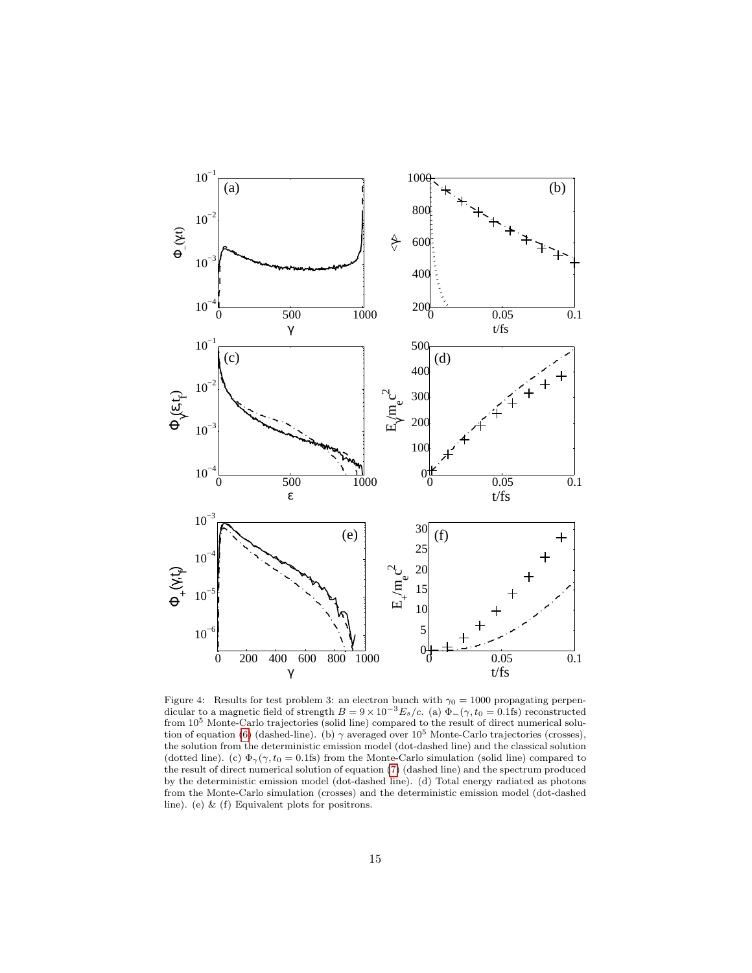

<span id="page-15-0"></span>Figure 4: Results for test problem 3: an electron bunch with  $\gamma_0 = 1000$  propagating perpendicular to a magnetic field of strength  $B = 9 \times 10^{-3} E_s/c$ . (a)  $\Phi_-(\gamma, t_0 = 0.1$ fs) reconstructed from 10<sup>5</sup> Monte-Carlo trajectories (solid line) compared to the result of direct numerical solu-tion of equation [\(6\)](#page-7-0) (dashed-line). (b)  $\gamma$  averaged over 10<sup>5</sup> Monte-Carlo trajectories (crosses), the solution from the deterministic emission model (dot-dashed line) and the classical solution (dotted line). (c)  $\Phi_{\gamma}(\gamma, t_0 = 0.1$ fs) from the Monte-Carlo simulation (solid line) compared to the result of direct numerical solution of equation [\(7\)](#page-7-1) (dashed line) and the spectrum produced by the deterministic emission model (dot-dashed line). (d) Total energy radiated as photons from the Monte-Carlo simulation (crosses) and the deterministic emission model (dot-dashed line). (e) & (f) Equivalent plots for positrons.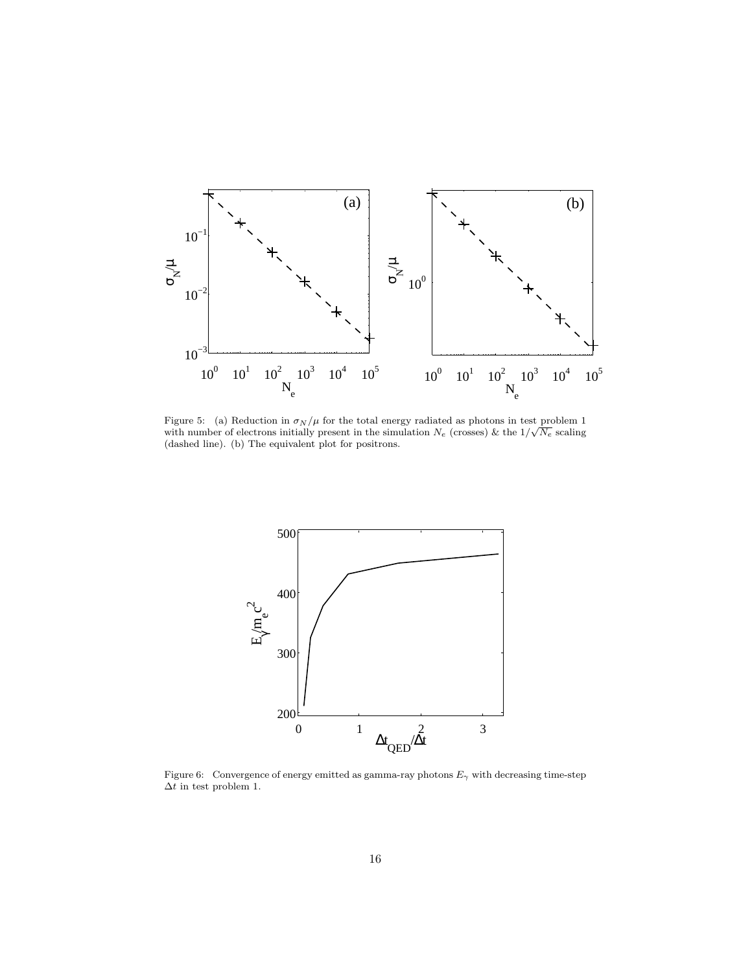

<span id="page-16-0"></span>Figure 5: (a) Reduction in  $\sigma_N/\mu$  for the total energy radiated as photons in test problem 1 rigure 5: (a) Reduction in  $\sigma_N/\mu$  for the total energy radiated as photons in test problem 1 with number of electrons initially present in the simulation  $N_e$  (crosses) & the  $1/\sqrt{N_e}$  scaling (dashed line). (b) The equivalent plot for positrons.



<span id="page-16-1"></span>Figure 6: Convergence of energy emitted as gamma-ray photons  $E_{\gamma}$  with decreasing time-step  $\Delta t$  in test problem 1.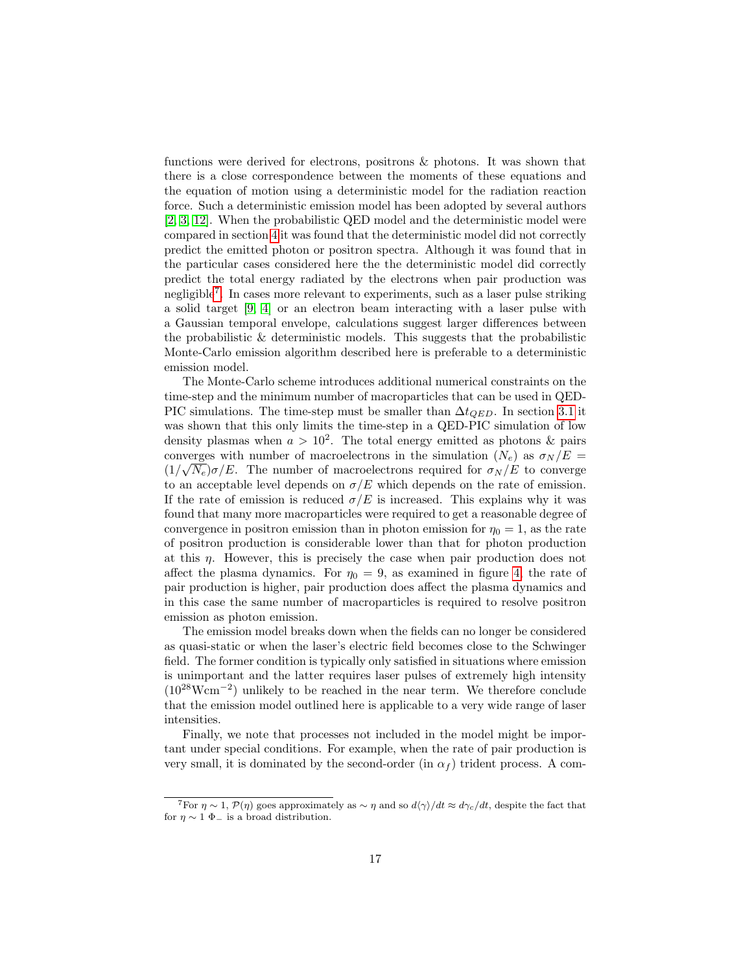functions were derived for electrons, positrons & photons. It was shown that there is a close correspondence between the moments of these equations and the equation of motion using a deterministic model for the radiation reaction force. Such a deterministic emission model has been adopted by several authors [\[2,](#page-20-1) [3,](#page-20-2) [12\]](#page-21-5). When the probabilistic QED model and the deterministic model were compared in section [4](#page-11-2) it was found that the deterministic model did not correctly predict the emitted photon or positron spectra. Although it was found that in the particular cases considered here the the deterministic model did correctly predict the total energy radiated by the electrons when pair production was negligible[7](#page-17-0) . In cases more relevant to experiments, such as a laser pulse striking a solid target [\[9,](#page-21-2) [4\]](#page-20-3) or an electron beam interacting with a laser pulse with a Gaussian temporal envelope, calculations suggest larger differences between the probabilistic & deterministic models. This suggests that the probabilistic Monte-Carlo emission algorithm described here is preferable to a deterministic emission model.

The Monte-Carlo scheme introduces additional numerical constraints on the time-step and the minimum number of macroparticles that can be used in QED-PIC simulations. The time-step must be smaller than  $\Delta t_{QED}$ . In section [3.1](#page-9-1) it was shown that this only limits the time-step in a QED-PIC simulation of low density plasmas when  $a > 10^2$ . The total energy emitted as photons & pairs converges with number of macroelectrons in the simulation  $(N_e)$  as  $\sigma_N/E =$  $(1/\sqrt{N_e})\sigma/E$ . The number of macroelectrons required for  $\sigma_N/E$  to converge to an acceptable level depends on  $\sigma/E$  which depends on the rate of emission. If the rate of emission is reduced  $\sigma/E$  is increased. This explains why it was found that many more macroparticles were required to get a reasonable degree of convergence in positron emission than in photon emission for  $\eta_0 = 1$ , as the rate of positron production is considerable lower than that for photon production at this  $\eta$ . However, this is precisely the case when pair production does not affect the plasma dynamics. For  $\eta_0 = 9$ , as examined in figure [4,](#page-15-0) the rate of pair production is higher, pair production does affect the plasma dynamics and in this case the same number of macroparticles is required to resolve positron emission as photon emission.

The emission model breaks down when the fields can no longer be considered as quasi-static or when the laser's electric field becomes close to the Schwinger field. The former condition is typically only satisfied in situations where emission is unimportant and the latter requires laser pulses of extremely high intensity  $(10^{28} Wcm^{-2})$  unlikely to be reached in the near term. We therefore conclude that the emission model outlined here is applicable to a very wide range of laser intensities.

Finally, we note that processes not included in the model might be important under special conditions. For example, when the rate of pair production is very small, it is dominated by the second-order (in  $\alpha_f$ ) trident process. A com-

<span id="page-17-0"></span><sup>&</sup>lt;sup>7</sup>For  $\eta \sim 1$ ,  $\mathcal{P}(\eta)$  goes approximately as  $\sim \eta$  and so  $d\langle \gamma \rangle / dt \approx d\gamma_c / dt$ , despite the fact that for  $\eta \sim 1$   $\Phi$  is a broad distribution.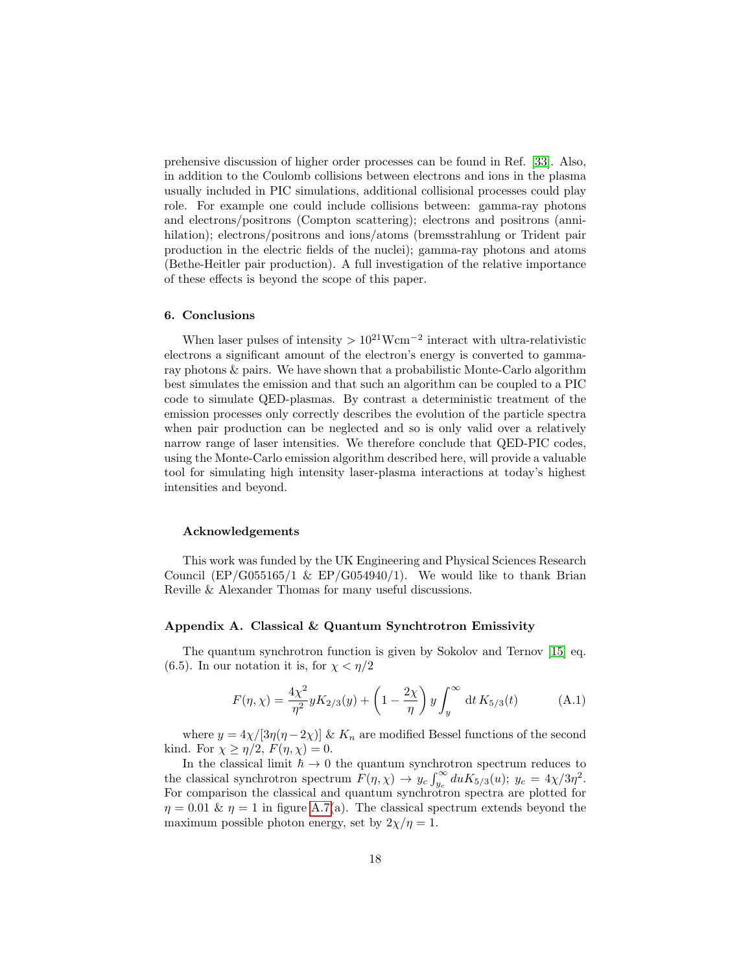prehensive discussion of higher order processes can be found in Ref. [\[33\]](#page-22-6). Also, in addition to the Coulomb collisions between electrons and ions in the plasma usually included in PIC simulations, additional collisional processes could play role. For example one could include collisions between: gamma-ray photons and electrons/positrons (Compton scattering); electrons and positrons (annihilation); electrons/positrons and ions/atoms (bremsstrahlung or Trident pair production in the electric fields of the nuclei); gamma-ray photons and atoms (Bethe-Heitler pair production). A full investigation of the relative importance of these effects is beyond the scope of this paper.

## 6. Conclusions

When laser pulses of intensity  $> 10^{21}$ Wcm<sup>-2</sup> interact with ultra-relativistic electrons a significant amount of the electron's energy is converted to gammaray photons & pairs. We have shown that a probabilistic Monte-Carlo algorithm best simulates the emission and that such an algorithm can be coupled to a PIC code to simulate QED-plasmas. By contrast a deterministic treatment of the emission processes only correctly describes the evolution of the particle spectra when pair production can be neglected and so is only valid over a relatively narrow range of laser intensities. We therefore conclude that QED-PIC codes, using the Monte-Carlo emission algorithm described here, will provide a valuable tool for simulating high intensity laser-plasma interactions at today's highest intensities and beyond.

#### Acknowledgements

This work was funded by the UK Engineering and Physical Sciences Research Council (EP/G055165/1 & EP/G054940/1). We would like to thank Brian Reville & Alexander Thomas for many useful discussions.

## <span id="page-18-0"></span>Appendix A. Classical & Quantum Synchtrotron Emissivity

The quantum synchrotron function is given by Sokolov and Ternov [\[15\]](#page-21-8) eq. (6.5). In our notation it is, for  $\chi < \eta/2$ 

$$
F(\eta, \chi) = \frac{4\chi^2}{\eta^2} y K_{2/3}(y) + \left(1 - \frac{2\chi}{\eta}\right) y \int_y^\infty dt K_{5/3}(t) \tag{A.1}
$$

where  $y = 4\chi/[3\eta(\eta - 2\chi)]$  &  $K_n$  are modified Bessel functions of the second kind. For  $\chi \geq \eta/2$ ,  $F(\eta, \chi) = 0$ .

In the classical limit  $\hbar \to 0$  the quantum synchrotron spectrum reduces to the classical synchrotron spectrum  $F(\eta, \chi) \to y_c \int_{y_c}^{\infty} du K_{5/3}(u); y_c = 4\chi/3\eta^2$ . For comparison the classical and quantum synchrotron spectra are plotted for  $\eta = 0.01 \& \eta = 1$  in figure [A.7\(](#page-19-1)a). The classical spectrum extends beyond the maximum possible photon energy, set by  $2\chi/\eta = 1$ .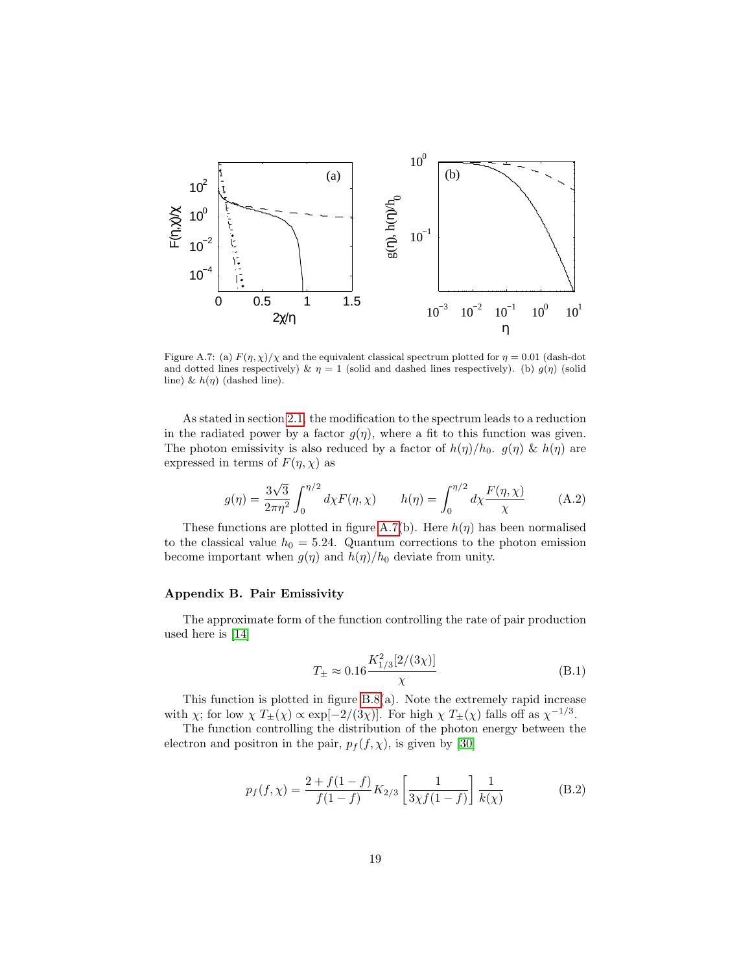

<span id="page-19-1"></span>Figure A.7: (a)  $F(\eta, \chi)/\chi$  and the equivalent classical spectrum plotted for  $\eta = 0.01$  (dash-dot and dotted lines respectively)  $\& \eta = 1$  (solid and dashed lines respectively). (b)  $g(\eta)$  (solid line) &  $h(\eta)$  (dashed line).

As stated in section [2.1,](#page-4-3) the modification to the spectrum leads to a reduction in the radiated power by a factor  $q(\eta)$ , where a fit to this function was given. The photon emissivity is also reduced by a factor of  $h(\eta)/h_0$ .  $g(\eta) \& h(\eta)$  are expressed in terms of  $F(\eta, \chi)$  as

$$
g(\eta) = \frac{3\sqrt{3}}{2\pi\eta^2} \int_0^{\eta/2} d\chi F(\eta, \chi) \qquad h(\eta) = \int_0^{\eta/2} d\chi \frac{F(\eta, \chi)}{\chi} \tag{A.2}
$$

These functions are plotted in figure [A.7\(](#page-19-1)b). Here  $h(\eta)$  has been normalised to the classical value  $h_0 = 5.24$ . Quantum corrections to the photon emission become important when  $g(\eta)$  and  $h(\eta)/h_0$  deviate from unity.

# <span id="page-19-0"></span>Appendix B. Pair Emissivity

The approximate form of the function controlling the rate of pair production used here is [\[14\]](#page-21-7)

$$
T_{\pm} \approx 0.16 \frac{K_{1/3}^2 [2/(3\chi)]}{\chi} \tag{B.1}
$$

This function is plotted in figure [B.8\(](#page-20-6)a). Note the extremely rapid increase with  $\chi$ ; for low  $\chi T_{\pm}(\chi) \propto \exp[-2/(3\chi)]$ . For high  $\chi T_{\pm}(\chi)$  falls off as  $\chi^{-1/3}$ .

The function controlling the distribution of the photon energy between the electron and positron in the pair,  $p_f(f, \chi)$ , is given by [\[30\]](#page-22-3)

$$
p_f(f, \chi) = \frac{2 + f(1 - f)}{f(1 - f)} K_{2/3} \left[ \frac{1}{3\chi f(1 - f)} \right] \frac{1}{k(\chi)} \tag{B.2}
$$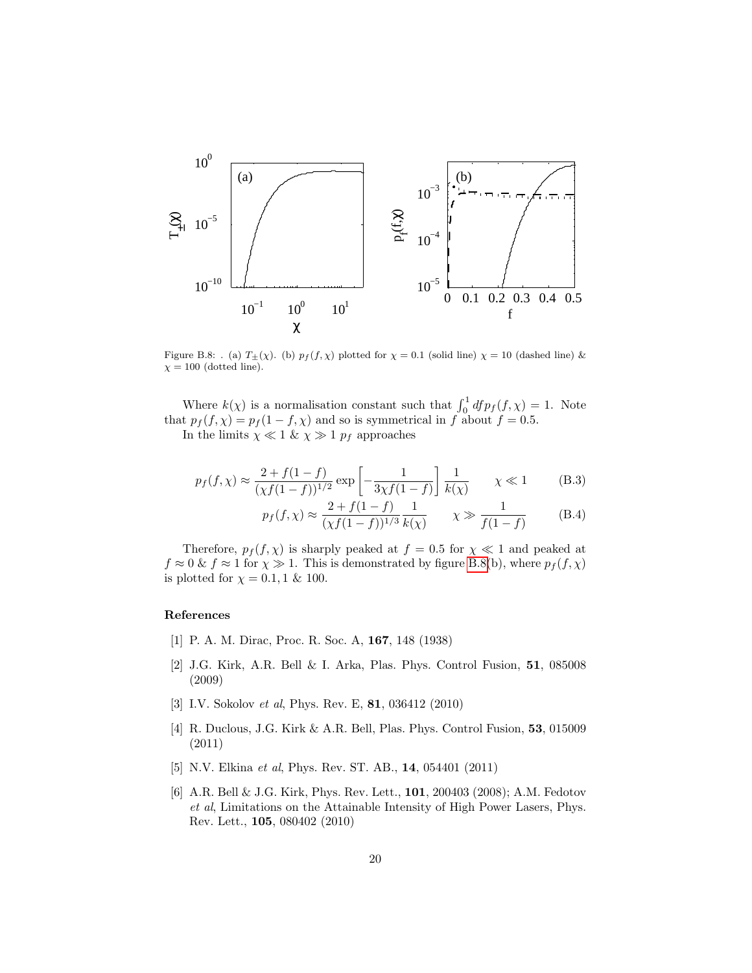

<span id="page-20-6"></span>Figure B.8: . (a)  $T_{\pm}(\chi)$ . (b)  $p_f(f, \chi)$  plotted for  $\chi = 0.1$  (solid line)  $\chi = 10$  (dashed line) &  $\chi = 100$  (dotted line).

Where  $k(\chi)$  is a normalisation constant such that  $\int_0^1 df p_f(f, \chi) = 1$ . Note that  $p_f(f, \chi) = p_f(1 - f, \chi)$  and so is symmetrical in f about  $f = 0.5$ . In the limits  $\chi \ll 1 \& \chi \gg 1 \ p_f$  approaches

$$
p_f(f, \chi) \approx \frac{2 + f(1 - f)}{(\chi f(1 - f))^{1/2}} \exp\left[-\frac{1}{3\chi f(1 - f)}\right] \frac{1}{k(\chi)} \qquad \chi \ll 1
$$
 (B.3)

$$
p_f(f, \chi) \approx \frac{2 + f(1 - f)}{(\chi f(1 - f))^{1/3}} \frac{1}{k(\chi)} \qquad \chi \gg \frac{1}{f(1 - f)} \tag{B.4}
$$

Therefore,  $p_f(f, \chi)$  is sharply peaked at  $f = 0.5$  for  $\chi \ll 1$  and peaked at  $f \approx 0$  &  $f \approx 1$  for  $\chi \gg 1$ . This is demonstrated by figure [B.8\(](#page-20-6)b), where  $p_f(f, \chi)$ is plotted for  $\chi = 0.1, 1 \& 100$ .

#### References

- <span id="page-20-0"></span>[1] P. A. M. Dirac, Proc. R. Soc. A, 167, 148 (1938)
- <span id="page-20-1"></span>[2] J.G. Kirk, A.R. Bell & I. Arka, Plas. Phys. Control Fusion, 51, 085008 (2009)
- <span id="page-20-2"></span>[3] I.V. Sokolov et al, Phys. Rev. E, 81, 036412 (2010)
- <span id="page-20-3"></span>[4] R. Duclous, J.G. Kirk & A.R. Bell, Plas. Phys. Control Fusion, 53, 015009 (2011)
- <span id="page-20-4"></span>[5] N.V. Elkina *et al*, Phys. Rev. ST. AB., **14**, 054401 (2011)
- <span id="page-20-5"></span>[6] A.R. Bell & J.G. Kirk, Phys. Rev. Lett., 101, 200403 (2008); A.M. Fedotov et al, Limitations on the Attainable Intensity of High Power Lasers, Phys. Rev. Lett., 105, 080402 (2010)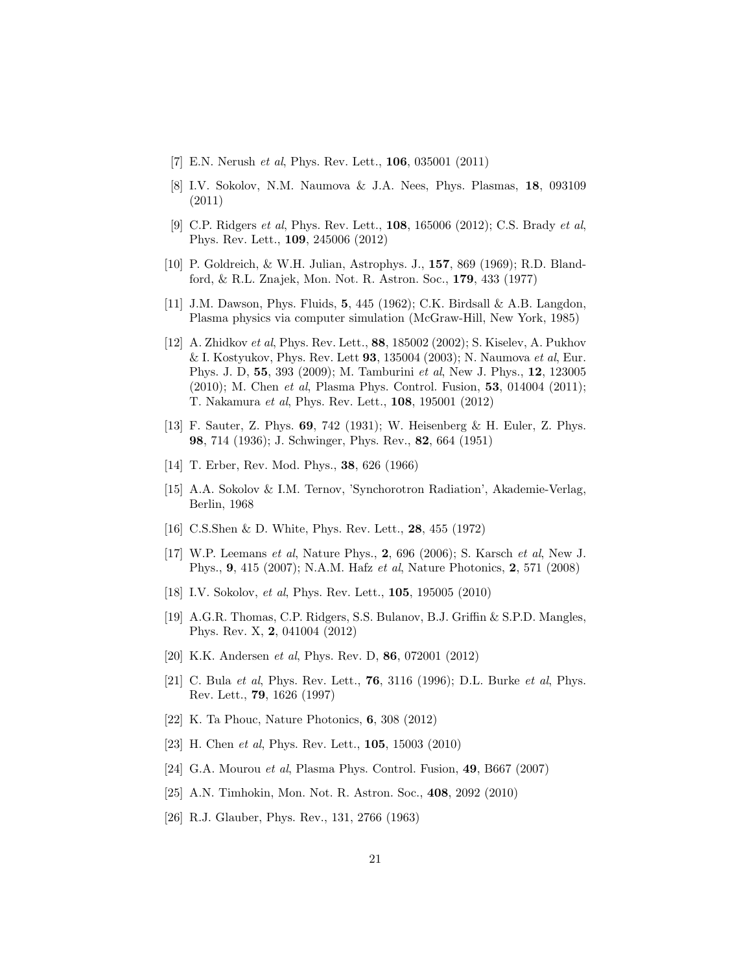- <span id="page-21-0"></span>[7] E.N. Nerush *et al*, Phys. Rev. Lett., **106**, 035001 (2011)
- <span id="page-21-1"></span>[8] I.V. Sokolov, N.M. Naumova & J.A. Nees, Phys. Plasmas, 18, 093109 (2011)
- <span id="page-21-2"></span>[9] C.P. Ridgers et al, Phys. Rev. Lett., **108**, 165006 (2012); C.S. Brady et al, Phys. Rev. Lett., 109, 245006 (2012)
- <span id="page-21-3"></span>[10] P. Goldreich, & W.H. Julian, Astrophys. J., 157, 869 (1969); R.D. Blandford, & R.L. Znajek, Mon. Not. R. Astron. Soc., 179, 433 (1977)
- <span id="page-21-4"></span>[11] J.M. Dawson, Phys. Fluids, 5, 445 (1962); C.K. Birdsall & A.B. Langdon, Plasma physics via computer simulation (McGraw-Hill, New York, 1985)
- <span id="page-21-5"></span>[12] A. Zhidkov et al, Phys. Rev. Lett., 88, 185002 (2002); S. Kiselev, A. Pukhov & I. Kostyukov, Phys. Rev. Lett 93, 135004 (2003); N. Naumova et al, Eur. Phys. J. D, 55, 393 (2009); M. Tamburini et al, New J. Phys., 12, 123005 (2010); M. Chen et al, Plasma Phys. Control. Fusion, 53, 014004 (2011); T. Nakamura et al, Phys. Rev. Lett., 108, 195001 (2012)
- <span id="page-21-6"></span>[13] F. Sauter, Z. Phys. 69, 742 (1931); W. Heisenberg & H. Euler, Z. Phys. 98, 714 (1936); J. Schwinger, Phys. Rev., 82, 664 (1951)
- <span id="page-21-7"></span>[14] T. Erber, Rev. Mod. Phys., 38, 626 (1966)
- <span id="page-21-8"></span>[15] A.A. Sokolov & I.M. Ternov, 'Synchorotron Radiation', Akademie-Verlag, Berlin, 1968
- <span id="page-21-9"></span>[16] C.S.Shen & D. White, Phys. Rev. Lett., 28, 455 (1972)
- <span id="page-21-10"></span>[17] W.P. Leemans et al, Nature Phys., 2, 696 (2006); S. Karsch et al, New J. Phys., 9, 415 (2007); N.A.M. Hafz et al, Nature Photonics, 2, 571 (2008)
- <span id="page-21-11"></span>[18] I.V. Sokolov, et al, Phys. Rev. Lett., **105**, 195005 (2010)
- <span id="page-21-12"></span>[19] A.G.R. Thomas, C.P. Ridgers, S.S. Bulanov, B.J. Griffin & S.P.D. Mangles, Phys. Rev. X, 2, 041004 (2012)
- <span id="page-21-13"></span>[20] K.K. Andersen et al, Phys. Rev. D, 86, 072001 (2012)
- <span id="page-21-14"></span>[21] C. Bula et al, Phys. Rev. Lett., **76**, 3116 (1996); D.L. Burke et al, Phys. Rev. Lett., 79, 1626 (1997)
- <span id="page-21-15"></span>[22] K. Ta Phouc, Nature Photonics, 6, 308 (2012)
- <span id="page-21-16"></span>[23] H. Chen et al, Phys. Rev. Lett., 105, 15003 (2010)
- <span id="page-21-17"></span>[24] G.A. Mourou et al, Plasma Phys. Control. Fusion, 49, B667 (2007)
- <span id="page-21-18"></span>[25] A.N. Timhokin, Mon. Not. R. Astron. Soc., 408, 2092 (2010)
- <span id="page-21-19"></span>[26] R.J. Glauber, Phys. Rev., 131, 2766 (1963)